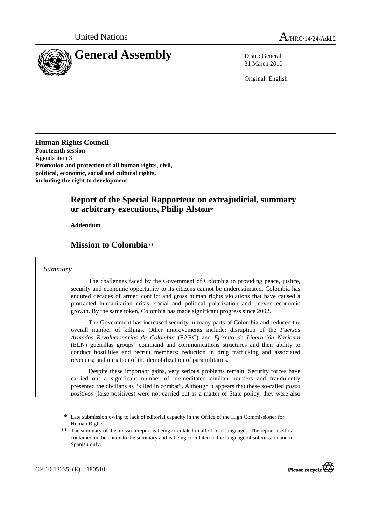

31 March 2010

Original: English

**Human Rights Council Fourteenth session**  Agenda item 3 **Promotion and protection of all human rights, civil, political, economic, social and cultural rights, including the right to development** 

## **Report of the Special Rapporteur on extrajudicial, summary or arbitrary executions, Philip Alston**\*

 **Addendum** 

## **Mission to Colombia**\*\*

#### *Summary*

 The challenges faced by the Government of Colombia in providing peace, justice, security and economic opportunity to its citizens cannot be underestimated. Colombia has endured decades of armed conflict and gross human rights violations that have caused a protracted humanitarian crisis, social and political polarization and uneven economic growth. By the same token, Colombia has made significant progress since 2002.

 The Government has increased security in many parts of Colombia and reduced the overall number of killings. Other improvements include: disruption of the *Fuerzas Armadas Revolucionarias de Colombia* (FARC) and *Ejército de Liberación Nacional* (ELN) guerrillas groups' command and communications structures and their ability to conduct hostilities and recruit members; reduction in drug trafficking and associated revenues; and initiation of the demobilization of paramilitaries.

 Despite these important gains, very serious problems remain. Security forces have carried out a significant number of premeditated civilian murders and fraudulently presented the civilians as "killed in combat". Although it appears that these so-called *falsos positivos* (false positives) were not carried out as a matter of State policy, they were also



<sup>\*</sup> Late submission owing to lack of editorial capacity in the Office of the High Commissioner for Human Rights.

<sup>\*\*</sup> The summary of this mission report is being circulated in all official languages. The report itself is contained in the annex to the summary and is being circulated in the language of submission and in Spanish only.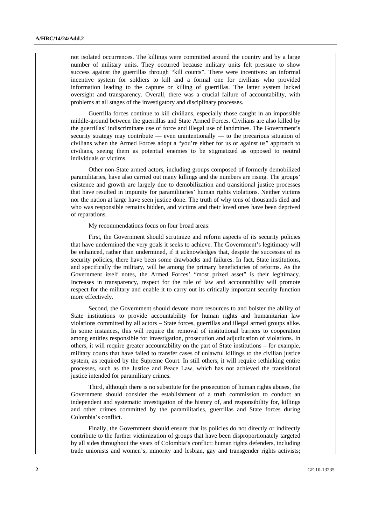not isolated occurrences. The killings were committed around the country and by a large number of military units. They occurred because military units felt pressure to show success against the guerrillas through "kill counts". There were incentives: an informal incentive system for soldiers to kill and a formal one for civilians who provided information leading to the capture or killing of guerrillas. The latter system lacked oversight and transparency. Overall, there was a crucial failure of accountability, with problems at all stages of the investigatory and disciplinary processes.

 Guerrilla forces continue to kill civilians, especially those caught in an impossible middle-ground between the guerrillas and State Armed Forces. Civilians are also killed by the guerrillas' indiscriminate use of force and illegal use of landmines. The Government's security strategy may contribute — even unintentionally — to the precarious situation of civilians when the Armed Forces adopt a "you're either for us or against us" approach to civilians, seeing them as potential enemies to be stigmatized as opposed to neutral individuals or victims.

 Other non-State armed actors, including groups composed of formerly demobilized paramilitaries, have also carried out many killings and the numbers are rising. The groups' existence and growth are largely due to demobilization and transitional justice processes that have resulted in impunity for paramilitaries' human rights violations. Neither victims nor the nation at large have seen justice done. The truth of why tens of thousands died and who was responsible remains hidden, and victims and their loved ones have been deprived of reparations.

My recommendations focus on four broad areas:

 First, the Government should scrutinize and reform aspects of its security policies that have undermined the very goals it seeks to achieve. The Government's legitimacy will be enhanced, rather than undermined, if it acknowledges that, despite the successes of its security policies, there have been some drawbacks and failures. In fact, State institutions, and specifically the military, will be among the primary beneficiaries of reforms. As the Government itself notes, the Armed Forces' "most prized asset" is their legitimacy. Increases in transparency, respect for the rule of law and accountability will promote respect for the military and enable it to carry out its critically important security function more effectively.

 Second, the Government should devote more resources to and bolster the ability of State institutions to provide accountability for human rights and humanitarian law violations committed by all actors – State forces, guerrillas and illegal armed groups alike. In some instances, this will require the removal of institutional barriers to cooperation among entities responsible for investigation, prosecution and adjudication of violations. In others, it will require greater accountability on the part of State institutions – for example, military courts that have failed to transfer cases of unlawful killings to the civilian justice system, as required by the Supreme Court. In still others, it will require rethinking entire processes, such as the Justice and Peace Law, which has not achieved the transitional justice intended for paramilitary crimes.

 Third, although there is no substitute for the prosecution of human rights abuses, the Government should consider the establishment of a truth commission to conduct an independent and systematic investigation of the history of, and responsibility for, killings and other crimes committed by the paramilitaries, guerrillas and State forces during Colombia's conflict.

 Finally, the Government should ensure that its policies do not directly or indirectly contribute to the further victimization of groups that have been disproportionately targeted by all sides throughout the years of Colombia's conflict: human rights defenders, including trade unionists and women's, minority and lesbian, gay and transgender rights activists;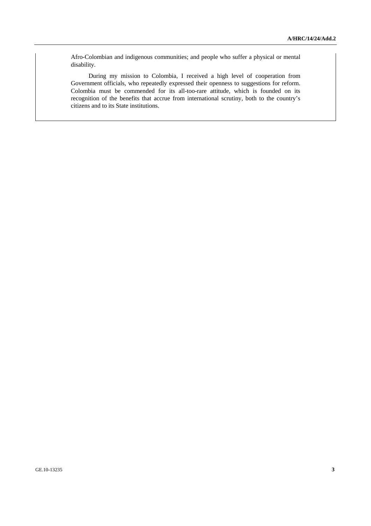Afro-Colombian and indigenous communities; and people who suffer a physical or mental disability.

 During my mission to Colombia, I received a high level of cooperation from Government officials, who repeatedly expressed their openness to suggestions for reform. Colombia must be commended for its all-too-rare attitude, which is founded on its recognition of the benefits that accrue from international scrutiny, both to the country's citizens and to its State institutions.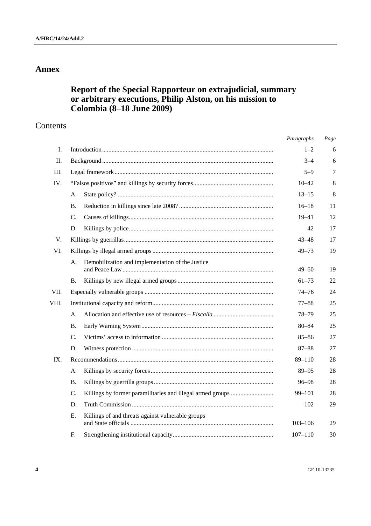# **Annex**

# **Report of the Special Rapporteur on extrajudicial, summary or arbitrary executions, Philip Alston, on his mission to Colombia (8–18 June 2009)**

## Contents

| Paragraphs                                                               | Page        |
|--------------------------------------------------------------------------|-------------|
| $1 - 2$                                                                  | 6           |
| $3 - 4$                                                                  | 6           |
| $5 - 9$                                                                  | 7           |
| $10 - 42$                                                                | 8           |
| $13 - 15$                                                                | 8           |
| $16 - 18$                                                                | 11          |
| $19 - 41$                                                                | 12          |
| 42                                                                       | 17          |
| 43–48                                                                    | 17          |
| $49 - 73$                                                                | 19          |
|                                                                          |             |
| $49 - 60$                                                                | 19          |
| $61 - 73$                                                                | 22          |
| $74 - 76$                                                                | 24          |
| $77 - 88$                                                                | 25          |
| 78–79                                                                    | 25          |
| $80 - 84$                                                                | 25          |
| $85 - 86$                                                                | 27          |
| $87 - 88$                                                                | 27          |
| $89 - 110$                                                               | 28          |
| $89 - 95$                                                                | 28          |
| $96 - 98$                                                                | 28          |
| Killings by former paramilitaries and illegal armed groups<br>$99 - 101$ | 28          |
| 102                                                                      | 29          |
|                                                                          | 29          |
|                                                                          |             |
|                                                                          | $103 - 106$ |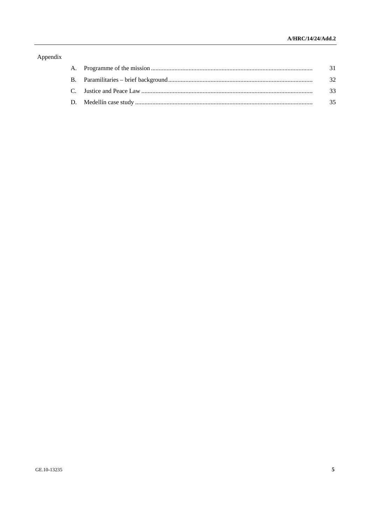## Appendix

|  | - 31 |
|--|------|
|  | - 32 |
|  | -33  |
|  | 35   |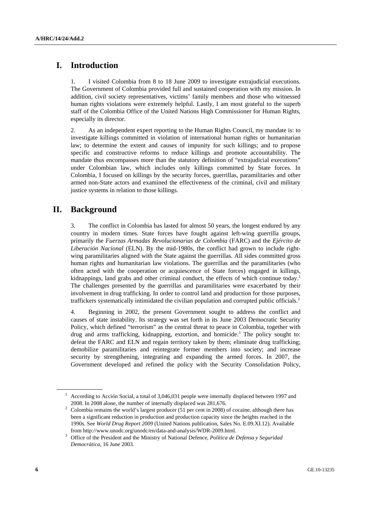# **I. Introduction**

1. I visited Colombia from 8 to 18 June 2009 to investigate extrajudicial executions. The Government of Colombia provided full and sustained cooperation with my mission. In addition, civil society representatives, victims' family members and those who witnessed human rights violations were extremely helpful. Lastly, I am most grateful to the superb staff of the Colombia Office of the United Nations High Commissioner for Human Rights, especially its director.

2. As an independent expert reporting to the Human Rights Council, my mandate is: to investigate killings committed in violation of international human rights or humanitarian law; to determine the extent and causes of impunity for such killings; and to propose specific and constructive reforms to reduce killings and promote accountability. The mandate thus encompasses more than the statutory definition of "extrajudicial executions" under Colombian law, which includes only killings committed by State forces. In Colombia, I focused on killings by the security forces, guerrillas, paramilitaries and other armed non-State actors and examined the effectiveness of the criminal, civil and military justice systems in relation to those killings.

# **II. Background**

3. The conflict in Colombia has lasted for almost 50 years, the longest endured by any country in modern times. State forces have fought against left-wing guerrilla groups, primarily the *Fuerzas Armadas Revolucionarias de Colombia* (FARC) and the *Ejército de Liberación Nacional* (ELN). By the mid-1980s, the conflict had grown to include rightwing paramilitaries aligned with the State against the guerrillas. All sides committed gross human rights and humanitarian law violations. The guerrillas and the paramilitaries (who often acted with the cooperation or acquiescence of State forces) engaged in killings, kidnappings, land grabs and other criminal conduct, the effects of which continue today.<sup>1</sup> The challenges presented by the guerrillas and paramilitaries were exacerbated by their involvement in drug trafficking. In order to control land and production for those purposes, traffickers systematically intimidated the civilian population and corrupted public officials.<sup>2</sup>

4. Beginning in 2002, the present Government sought to address the conflict and causes of state instability. Its strategy was set forth in its June 2003 Democratic Security Policy, which defined "terrorism" as the central threat to peace in Colombia, together with drug and arms trafficking, kidnapping, extortion, and homicide.<sup>3</sup> The policy sought to: defeat the FARC and ELN and regain territory taken by them; eliminate drug trafficking; demobilize paramilitaries and reintegrate former members into society; and increase security by strengthening, integrating and expanding the armed forces. In 2007, the Government developed and refined the policy with the Security Consolidation Policy,

<sup>&</sup>lt;sup>1</sup> According to Acción Social, a total of 3,046,031 people were internally displaced between 1997 and 2008. In 2008 alone, the number of internally displaced was 281,676. 2

 $2$  Colombia remains the world's largest producer (51 per cent in 2008) of cocaine, although there has been a significant reduction in production and production capacity since the heights reached in the 1990s. See *World Drug Report 2009* (United Nations publication, Sales No. E.09.XI.12). Available from http://www.unodc.org/unodc/en/data-and-analysis/WDR-2009.html. 3

Office of the President and the Ministry of National Defence, *Política de Defensa y Seguridad Democrática*, 16 June 2003.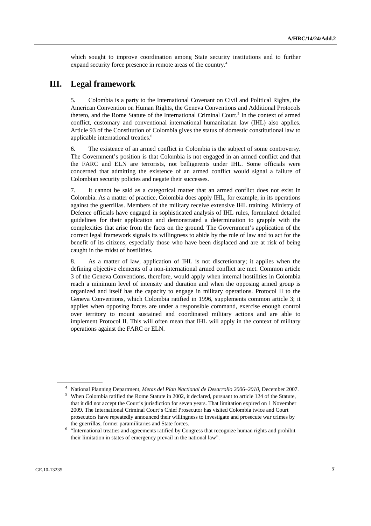which sought to improve coordination among State security institutions and to further expand security force presence in remote areas of the country.<sup>4</sup>

## **III. Legal framework**

5. Colombia is a party to the International Covenant on Civil and Political Rights, the American Convention on Human Rights, the Geneva Conventions and Additional Protocols thereto, and the Rome Statute of the International Criminal Court.<sup>5</sup> In the context of armed conflict, customary and conventional international humanitarian law (IHL) also applies. Article 93 of the Constitution of Colombia gives the status of domestic constitutional law to applicable international treaties.<sup>6</sup>

6. The existence of an armed conflict in Colombia is the subject of some controversy. The Government's position is that Colombia is not engaged in an armed conflict and that the FARC and ELN are terrorists, not belligerents under IHL. Some officials were concerned that admitting the existence of an armed conflict would signal a failure of Colombian security policies and negate their successes.

7. It cannot be said as a categorical matter that an armed conflict does not exist in Colombia. As a matter of practice, Colombia does apply IHL, for example, in its operations against the guerrillas. Members of the military receive extensive IHL training. Ministry of Defence officials have engaged in sophisticated analysis of IHL rules, formulated detailed guidelines for their application and demonstrated a determination to grapple with the complexities that arise from the facts on the ground. The Government's application of the correct legal framework signals its willingness to abide by the rule of law and to act for the benefit of its citizens, especially those who have been displaced and are at risk of being caught in the midst of hostilities.

8. As a matter of law, application of IHL is not discretionary; it applies when the defining objective elements of a non-international armed conflict are met. Common article 3 of the Geneva Conventions, therefore, would apply when internal hostilities in Colombia reach a minimum level of intensity and duration and when the opposing armed group is organized and itself has the capacity to engage in military operations. Protocol II to the Geneva Conventions, which Colombia ratified in 1996, supplements common article 3; it applies when opposing forces are under a responsible command, exercise enough control over territory to mount sustained and coordinated military actions and are able to implement Protocol II. This will often mean that IHL will apply in the context of military operations against the FARC or ELN.

<sup>&</sup>lt;sup>4</sup> National Planning Department, *Metas del Plan Nactional de Desarrollo 2006–2010*, December 2007.<br><sup>5</sup> When Colombia ratified the Bome Statute in 2002, it deglared nursuant to erticle 124 of the Statute.

<sup>&</sup>lt;sup>5</sup> When Colombia ratified the Rome Statute in 2002, it declared, pursuant to article 124 of the Statute, that it did not accept the Court's jurisdiction for seven years. That limitation expired on 1 November 2009. The International Criminal Court's Chief Prosecutor has visited Colombia twice and Court prosecutors have repeatedly announced their willingness to investigate and prosecute war crimes by the guerrillas, former paramilitaries and State forces.<br>
<sup>6</sup> "International treaties and agreements ratified by Congress that recognize human rights and prohibit

their limitation in states of emergency prevail in the national law".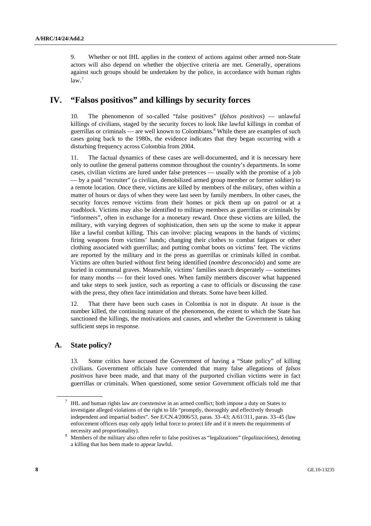9. Whether or not IHL applies in the context of actions against other armed non-State actors will also depend on whether the objective criteria are met. Generally, operations against such groups should be undertaken by the police, in accordance with human rights law. 7

## **IV. "Falsos positivos" and killings by security forces**

10. The phenomenon of so-called "false positives" (*falsos positivos*) — unlawful killings of civilians, staged by the security forces to look like lawful killings in combat of guerrillas or criminals — are well known to Colombians.<sup>8</sup> While there are examples of such cases going back to the 1980s, the evidence indicates that they began occurring with a disturbing frequency across Colombia from 2004.

11. The factual dynamics of these cases are well-documented, and it is necessary here only to outline the general patterns common throughout the country's departments. In some cases, civilian victims are lured under false pretences — usually with the promise of a job — by a paid "recruiter" (a civilian, demobilized armed group member or former soldier) to a remote location. Once there, victims are killed by members of the military, often within a matter of hours or days of when they were last seen by family members. In other cases, the security forces remove victims from their homes or pick them up on patrol or at a roadblock. Victims may also be identified to military members as guerrillas or criminals by "informers", often in exchange for a monetary reward. Once these victims are killed, the military, with varying degrees of sophistication, then sets up the scene to make it appear like a lawful combat killing. This can involve: placing weapons in the hands of victims; firing weapons from victims' hands; changing their clothes to combat fatigues or other clothing associated with guerrillas; and putting combat boots on victims' feet. The victims are reported by the military and in the press as guerrillas or criminals killed in combat. Victims are often buried without first being identified (*nombre desconocido*) and some are buried in communal graves. Meanwhile, victims' families search desperately — sometimes for many months — for their loved ones. When family members discover what happened and take steps to seek justice, such as reporting a case to officials or discussing the case with the press, they often face intimidation and threats. Some have been killed.

12. That there have been such cases in Colombia is not in dispute. At issue is the number killed, the continuing nature of the phenomenon, the extent to which the State has sanctioned the killings, the motivations and causes, and whether the Government is taking sufficient steps in response.

### **A. State policy?**

13. Some critics have accused the Government of having a "State policy" of killing civilians. Government officials have contended that many false allegations of *falsos positivos* have been made, and that many of the purported civilian victims were in fact guerrillas or criminals. When questioned, some senior Government officials told me that

 $7$  IHL and human rights law are coextensive in an armed conflict; both impose a duty on States to investigate alleged violations of the right to life "promptly, thoroughly and effectively through independent and impartial bodies". See E/CN.4/2006/53, paras. 33–43; A/61/311, paras. 33–45 (law enforcement officers may only apply lethal force to protect life and if it meets the requirements of necessity and proportionality).<br> $8 \text{ Members of the military also } 6$ 

Members of the military also often refer to false positives as "legalizations" (*legalizaciónes)*, denoting a killing that has been made to appear lawful.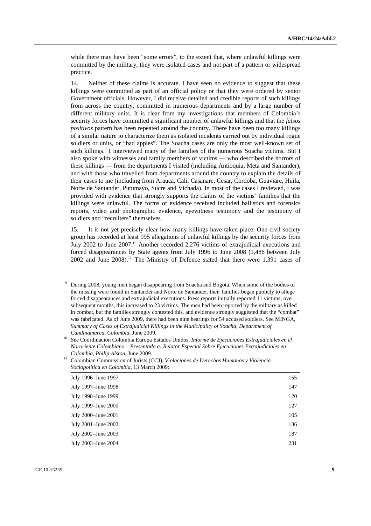while there may have been "some errors", to the extent that, where unlawful killings were committed by the military, they were isolated cases and not part of a pattern or widespread practice.

14. Neither of these claims is accurate. I have seen no evidence to suggest that these killings were committed as part of an official policy or that they were ordered by senior Government officials. However, I did receive detailed and credible reports of such killings from across the country, committed in numerous departments and by a large number of different military units. It is clear from my investigations that members of Colombia's security forces have committed a significant number of unlawful killings and that the *falsos positivos* pattern has been repeated around the country. There have been too many killings of a similar nature to characterize them as isolated incidents carried out by individual rogue soldiers or units, or "bad apples". The Soacha cases are only the most well-known set of such killings.<sup>9</sup> I interviewed many of the families of the numerous Soacha victims. But I also spoke with witnesses and family members of victims — who described the horrors of these killings — from the departments I visited (including Antioquia, Meta and Santander), and with those who travelled from departments around the country to explain the details of their cases to me (including from Arauca, Cali, Casanare, Cesar, Cordoba, Guaviare, Huila, Norte de Santander, Putumayo, Sucre and Vichada). In most of the cases I reviewed, I was provided with evidence that strongly supports the claims of the victims' families that the killings were unlawful. The forms of evidence received included ballistics and forensics reports, video and photographic evidence, eyewitness testimony and the testimony of soldiers and "recruiters" themselves.

15. It is not yet precisely clear how many killings have taken place. One civil society group has recorded at least 995 allegations of unlawful killings by the security forces from July 2002 to June 2007.<sup>10</sup> Another recorded 2,276 victims of extrajudicial executions and forced disappearances by State agents from July 1996 to June 2008 (1,486 between July 2002 and June 2008).<sup>11</sup> The Ministry of Defence stated that there were 1,391 cases of

*Colombia, Philip Alston*, June 2009. 11 Colombian Commission of Jurists (CCJ), *Violaciones de Derechos Humanos y Violencia Sociopolitica en Colombia*, 13 March 2009:

| July 1996–June 1997 | 155 |
|---------------------|-----|
| July 1997–June 1998 | 147 |
| July 1998–June 1999 | 120 |
| July 1999–June 2000 | 127 |
| July 2000-June 2001 | 105 |
| July 2001-June 2002 | 136 |
| July 2002-June 2003 | 187 |
| July 2003-June 2004 | 231 |
|                     |     |

<sup>&</sup>lt;sup>9</sup> During 2008, young men began disappearing from Soacha and Bogota. When some of the bodies of the missing were found in Santander and Norte de Santander, their families began publicly to allege forced disappearances and extrajudicial executions. Press reports initially reported 11 victims; over subsequent months, this increased to 23 victims. The men had been reported by the military as killed in combat, but the families strongly contested this, and evidence strongly suggested that the "combat" was fabricated. As of June 2009, there had been nine hearings for 54 accused soldiers. See MINGA, *Summary of Cases of Extrajudicial Killings in the Municipality of Soacha, Department of* 

*Cundinamarca, Colombia*, June 2009. 10 See Coordinación Colombia Europa Estados Unidos, *Informe de Ejecuciones Extrajudiciales en el Nororiente Colombiano – Presentado a: Relator Especial Sobre Ejecuciones Extrajudiciales en*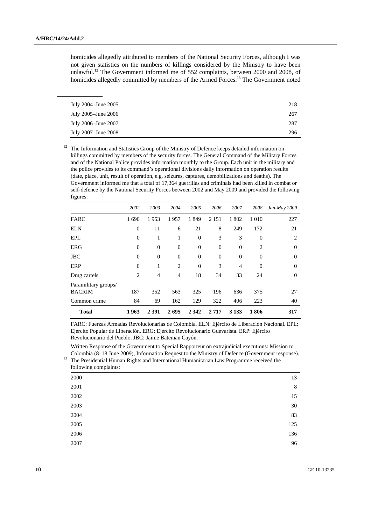homicides allegedly attributed to members of the National Security Forces, although I was not given statistics on the numbers of killings considered by the Ministry to have been unlawful.12 The Government informed me of 552 complaints, between 2000 and 2008, of homicides allegedly committed by members of the Armed Forces.<sup>13</sup> The Government noted

| July 2004–June 2005 | 218 |
|---------------------|-----|
|                     |     |
| July 2005–June 2006 | 267 |
| July 2006–June 2007 | 287 |
| July 2007–June 2008 | 296 |

<sup>12</sup> The Information and Statistics Group of the Ministry of Defence keeps detailed information on killings committed by members of the security forces. The General Command of the Military Forces and of the National Police provides information monthly to the Group. Each unit in the military and the police provides to its command's operational divisions daily information on operation results (date, place, unit, result of operation, e.g. seizures, captures, demobilizations and deaths). The Government informed me that a total of 17,364 guerrillas and criminals had been killed in combat or self-defence by the National Security Forces between 2002 and May 2009 and provided the following figures:

|                                       | 2002             | 2003           | 2004           | 2005             | 2006     | 2007           | 2008             | Jan-May 2009   |
|---------------------------------------|------------------|----------------|----------------|------------------|----------|----------------|------------------|----------------|
| FARC                                  | 1690             | 1953           | 1957           | 1849             | 2 1 5 1  | 1802           | 1 0 1 0          | 227            |
| <b>ELN</b>                            | $\boldsymbol{0}$ | 11             | 6              | 21               | 8        | 249            | 172              | 21             |
| EPL                                   | $\boldsymbol{0}$ | 1              | 1              | $\boldsymbol{0}$ | 3        | 3              | $\mathbf{0}$     | $\overline{c}$ |
| <b>ERG</b>                            | $\mathbf{0}$     | $\mathbf{0}$   | $\overline{0}$ | $\boldsymbol{0}$ | $\Omega$ | $\theta$       | 2                | $\Omega$       |
| <b>JBC</b>                            | $\overline{0}$   | $\mathbf{0}$   | $\overline{0}$ | $\boldsymbol{0}$ | $\Omega$ | $\theta$       | $\boldsymbol{0}$ | $\Omega$       |
| ERP                                   | $\theta$         | 1              | $\overline{2}$ | $\theta$         | 3        | $\overline{4}$ | $\overline{0}$   | $\Omega$       |
| Drug cartels                          | 2                | $\overline{4}$ | $\overline{4}$ | 18               | 34       | 33             | 24               | $\mathbf{0}$   |
| Paramilitary groups/<br><b>BACRIM</b> | 187              | 352            | 563            | 325              | 196      | 636            | 375              | 27             |
| Common crime                          | 84               | 69             | 162            | 129              | 322      | 406            | 223              | 40             |
| <b>Total</b>                          | 1963             | 2 3 9 1        | 2695           | 2 3 4 2          | 2717     | 3 1 3 3        | 1806             | 317            |

FARC: Fuerzas Armadas Revolucionarias de Colombia. ELN: Ejército de Liberación Nacional. EPL: Ejército Popular de Liberación. ERG: Ejército Revolucionario Guevarista. ERP: Ejército Revolucionario del Pueblo. JBC: Jaime Bateman Cayón.

 Written Response of the Government to Special Rapporteur on extrajudicial executions: Mission to Colombia (8–18 June 2009), Information Request to the Ministry of Defence (Government response). 13 The Presidential Human Rights and International Humanitarian Law Programme received the following complaints:

| $10II$ $\sim$ $10II$ $\sim$ $10II$ $\sim$ $10II$ |         |
|--------------------------------------------------|---------|
| 2000                                             | 13      |
| 2001                                             | $\,8\,$ |
| 2002                                             | 15      |
| 2003                                             | 30      |
| 2004                                             | 83      |
| 2005                                             | 125     |
| 2006                                             | 136     |
| 2007                                             | 96      |
|                                                  |         |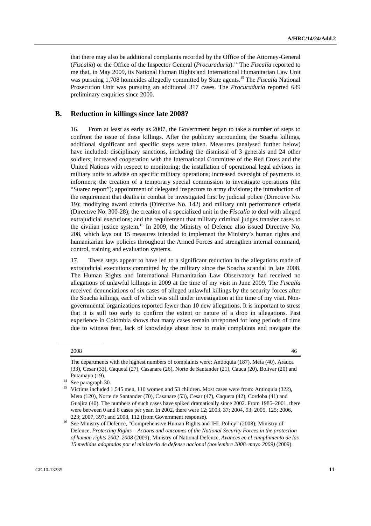that there may also be additional complaints recorded by the Office of the Attorney-General (*Fiscalía*) or the Office of the Inspector General (*Procuraduría*).14 The *Fiscalía* reported to me that, in May 2009, its National Human Rights and International Humanitarian Law Unit was pursuing 1,708 homicides allegedly committed by State agents.15 The *Fiscalía* National Prosecution Unit was pursuing an additional 317 cases. The *Procuraduría* reported 639 preliminary enquiries since 2000.

### **B. Reduction in killings since late 2008?**

16. From at least as early as 2007, the Government began to take a number of steps to confront the issue of these killings. After the publicity surrounding the Soacha killings, additional significant and specific steps were taken. Measures (analysed further below) have included: disciplinary sanctions, including the dismissal of 3 generals and 24 other soldiers; increased cooperation with the International Committee of the Red Cross and the United Nations with respect to monitoring; the installation of operational legal advisors in military units to advise on specific military operations; increased oversight of payments to informers; the creation of a temporary special commission to investigate operations (the "Suarez report"); appointment of delegated inspectors to army divisions; the introduction of the requirement that deaths in combat be investigated first by judicial police (Directive No. 19); modifying award criteria (Directive No. 142) and military unit performance criteria (Directive No. 300-28); the creation of a specialized unit in the *Fiscalía* to deal with alleged extrajudicial executions; and the requirement that military criminal judges transfer cases to the civilian justice system.<sup>16</sup> In 2009, the Ministry of Defence also issued Directive No. 208, which lays out 15 measures intended to implement the Ministry's human rights and humanitarian law policies throughout the Armed Forces and strengthen internal command, control, training and evaluation systems.

17. These steps appear to have led to a significant reduction in the allegations made of extrajudicial executions committed by the military since the Soacha scandal in late 2008. The Human Rights and International Humanitarian Law Observatory had received no allegations of unlawful killings in 2009 at the time of my visit in June 2009. The *Fiscalía* received denunciations of six cases of alleged unlawful killings by the security forces after the Soacha killings, each of which was still under investigation at the time of my visit. Nongovernmental organizations reported fewer than 10 new allegations. It is important to stress that it is still too early to confirm the extent or nature of a drop in allegations. Past experience in Colombia shows that many cases remain unreported for long periods of time due to witness fear, lack of knowledge about how to make complaints and navigate the

<sup>2008</sup> **46** 

The departments with the highest numbers of complaints were: Antioquia (187), Meta (40), Arauca (33), Cesar (33), Caquetá (27), Casanare (26), Norte de Santander (21), Cauca (20), Bolívar (20) and

Putamayo (19).<br><sup>14</sup> See paragraph 30.<br><sup>15</sup> Victims included

<sup>15</sup> Victims included 1,545 men, 110 women and 53 children. Most cases were from: Antioquia (322), Meta (120), Norte de Santander (70), Casanare (53), Cesar (47), Caqueta (42), Cordoba (41) and Guajira (40). The numbers of such cases have spiked dramatically since 2002. From 1985–2001, there were between 0 and 8 cases per year. In 2002, there were 12; 2003, 37; 2004, 93; 2005, 125; 2006,

<sup>223; 2007, 397;</sup> and 2008, 112 (from Government response). 16 See Ministry of Defence, "Comprehensive Human Rights and IHL Policy" (2008); Ministry of Defence, *Protecting Rights – Actions and outcomes of the National Security Forces in the protection of human rights 2002–2008* (2009); Ministry of National Defence, *Avances en el cumplimiento de las 15 medidas adoptadas por el ministerio de defense nacional (noviembre 2008–mayo 2009)* (2009).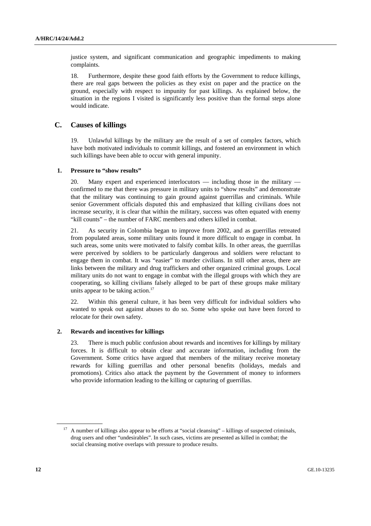justice system, and significant communication and geographic impediments to making complaints.

18. Furthermore, despite these good faith efforts by the Government to reduce killings, there are real gaps between the policies as they exist on paper and the practice on the ground, especially with respect to impunity for past killings. As explained below, the situation in the regions I visited is significantly less positive than the formal steps alone would indicate.

### **C. Causes of killings**

19. Unlawful killings by the military are the result of a set of complex factors, which have both motivated individuals to commit killings, and fostered an environment in which such killings have been able to occur with general impunity.

#### **1. Pressure to "show results"**

20. Many expert and experienced interlocutors — including those in the military confirmed to me that there was pressure in military units to "show results" and demonstrate that the military was continuing to gain ground against guerrillas and criminals. While senior Government officials disputed this and emphasized that killing civilians does not increase security, it is clear that within the military, success was often equated with enemy "kill counts" – the number of FARC members and others killed in combat.

21. As security in Colombia began to improve from 2002, and as guerrillas retreated from populated areas, some military units found it more difficult to engage in combat. In such areas, some units were motivated to falsify combat kills. In other areas, the guerrillas were perceived by soldiers to be particularly dangerous and soldiers were reluctant to engage them in combat. It was "easier" to murder civilians. In still other areas, there are links between the military and drug traffickers and other organized criminal groups. Local military units do not want to engage in combat with the illegal groups with which they are cooperating, so killing civilians falsely alleged to be part of these groups make military units appear to be taking action.<sup>17</sup>

22. Within this general culture, it has been very difficult for individual soldiers who wanted to speak out against abuses to do so. Some who spoke out have been forced to relocate for their own safety.

#### **2. Rewards and incentives for killings**

23. There is much public confusion about rewards and incentives for killings by military forces. It is difficult to obtain clear and accurate information, including from the Government. Some critics have argued that members of the military receive monetary rewards for killing guerrillas and other personal benefits (holidays, medals and promotions). Critics also attack the payment by the Government of money to informers who provide information leading to the killing or capturing of guerrillas.

<sup>&</sup>lt;sup>17</sup> A number of killings also appear to be efforts at "social cleansing" – killings of suspected criminals, drug users and other "undesirables". In such cases, victims are presented as killed in combat; the social cleansing motive overlaps with pressure to produce results.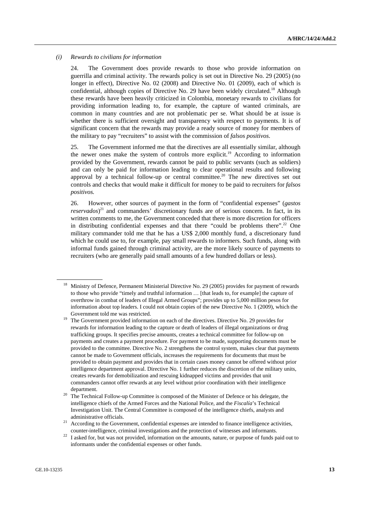#### *(i) Rewards to civilians for information*

24. The Government does provide rewards to those who provide information on guerrilla and criminal activity. The rewards policy is set out in Directive No. 29 (2005) (no longer in effect), Directive No. 02 (2008) and Directive No. 01 (2009), each of which is confidential, although copies of Directive No. 29 have been widely circulated.<sup>18</sup> Although these rewards have been heavily criticized in Colombia, monetary rewards to civilians for providing information leading to, for example, the capture of wanted criminals, are common in many countries and are not problematic per se. What should be at issue is whether there is sufficient oversight and transparency with respect to payments. It is of significant concern that the rewards may provide a ready source of money for members of the military to pay "recruiters" to assist with the commission of *falsos positivos*.

25. The Government informed me that the directives are all essentially similar, although the newer ones make the system of controls more explicit.<sup>19</sup> According to information provided by the Government, rewards cannot be paid to public servants (such as soldiers) and can only be paid for information leading to clear operational results and following approval by a technical follow-up or central committee.<sup>20</sup> The new directives set out controls and checks that would make it difficult for money to be paid to recruiters for *falsos positivos.*

26. However, other sources of payment in the form of "confidential expenses" (*gastos reservados*) 21 and commanders' discretionary funds are of serious concern. In fact, in its written comments to me, the Government conceded that there is more discretion for officers in distributing confidential expenses and that there "could be problems there".<sup>22</sup> One military commander told me that he has a US\$ 2,000 monthly fund, a discretionary fund which he could use to, for example, pay small rewards to informers. Such funds, along with informal funds gained through criminal activity, are the more likely source of payments to recruiters (who are generally paid small amounts of a few hundred dollars or less).

<sup>18</sup> Ministry of Defence, Permanent Ministerial Directive No. 29 (2005) provides for payment of rewards to those who provide "timely and truthful information … [that leads to, for example] the capture of overthrow in combat of leaders of Illegal Armed Groups"; provides up to 5,000 million pesos for information about top leaders. I could not obtain copies of the new Directive No. 1 (2009), which the Government told me was restricted.<br><sup>19</sup> The Government provided information on each of the directives. Directive No. 29 provides for

rewards for information leading to the capture or death of leaders of illegal organizations or drug trafficking groups. It specifies precise amounts, creates a technical committee for follow-up on payments and creates a payment procedure. For payment to be made, supporting documents must be provided to the committee. Directive No. 2 strengthens the control system, makes clear that payments cannot be made to Government officials, increases the requirements for documents that must be provided to obtain payment and provides that in certain cases money cannot be offered without prior intelligence department approval. Directive No. 1 further reduces the discretion of the military units, creates rewards for demobilization and rescuing kidnapped victims and provides that unit commanders cannot offer rewards at any level without prior coordination with their intelligence

department.<br><sup>20</sup> The Technical Follow-up Committee is composed of the Minister of Defence or his delegate, the intelligence chiefs of the Armed Forces and the National Police, and the *Fiscalía*'s Technical Investigation Unit. The Central Committee is composed of the intelligence chiefs, analysts and administrative officials.<br><sup>21</sup> According to the Government, confidential expenses are intended to finance intelligence activities,

counter-intelligence, criminal investigations and the protection of witnesses and informants. 22 I asked for, but was not provided, information on the amounts, nature, or purpose of funds paid out to

informants under the confidential expenses or other funds.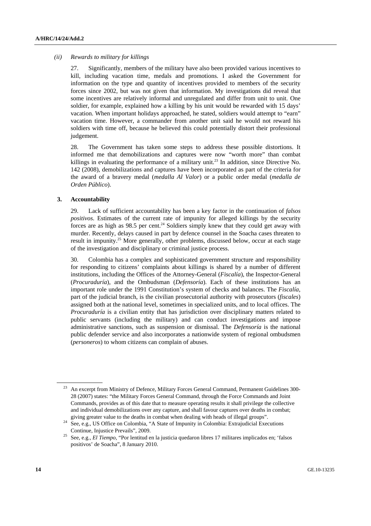#### *(ii) Rewards to military for killings*

27. Significantly, members of the military have also been provided various incentives to kill, including vacation time, medals and promotions. I asked the Government for information on the type and quantity of incentives provided to members of the security forces since 2002, but was not given that information. My investigations did reveal that some incentives are relatively informal and unregulated and differ from unit to unit. One soldier, for example, explained how a killing by his unit would be rewarded with 15 days' vacation. When important holidays approached, he stated, soldiers would attempt to "earn" vacation time. However, a commander from another unit said he would not reward his soldiers with time off, because he believed this could potentially distort their professional judgement.

28. The Government has taken some steps to address these possible distortions. It informed me that demobilizations and captures were now "worth more" than combat killings in evaluating the performance of a military unit.<sup>23</sup> In addition, since Directive No. 142 (2008), demobilizations and captures have been incorporated as part of the criteria for the award of a bravery medal (*medalla Al Valor*) or a public order medal (*medalla de Orden Público*).

#### **3. Accountability**

29. Lack of sufficient accountability has been a key factor in the continuation of *falsos positivos*. Estimates of the current rate of impunity for alleged killings by the security forces are as high as  $98.5$  per cent.<sup>24</sup> Soldiers simply knew that they could get away with murder. Recently, delays caused in part by defence counsel in the Soacha cases threaten to result in impunity.<sup>25</sup> More generally, other problems, discussed below, occur at each stage of the investigation and disciplinary or criminal justice process.

30. Colombia has a complex and sophisticated government structure and responsibility for responding to citizens' complaints about killings is shared by a number of different institutions, including the Offices of the Attorney-General (*Fiscalía*), the Inspector-General (*Procuraduría*), and the Ombudsman (*Defensoría*). Each of these institutions has an important role under the 1991 Constitution's system of checks and balances. The *Fiscalía*, part of the judicial branch, is the civilian prosecutorial authority with prosecutors (*fiscales*) assigned both at the national level, sometimes in specialized units, and to local offices. The *Procuraduría* is a civilian entity that has jurisdiction over disciplinary matters related to public servants (including the military) and can conduct investigations and impose administrative sanctions, such as suspension or dismissal. The *Defensoría* is the national public defender service and also incorporates a nationwide system of regional ombudsmen (*personeros*) to whom citizens can complain of abuses.

<sup>&</sup>lt;sup>23</sup> An excerpt from Ministry of Defence, Military Forces General Command, Permanent Guidelines 300-28 (2007) states: "the Military Forces General Command, through the Force Commands and Joint Commands, provides as of this date that to measure operating results it shall privilege the collective and individual demobilizations over any capture, and shall favour captures over deaths in combat;

giving greater value to the deaths in combat when dealing with heads of illegal groups". 24 See, e.g., US Office on Colombia, "A State of Impunity in Colombia: Extrajudicial Executions

Continue, Injustice Prevails", 2009. 25 See, e.g., *El Tiempo*, "Por lentitud en la justicia quedaron libres 17 militares implicados en; 'falsos positivos' de Soacha", 8 January 2010.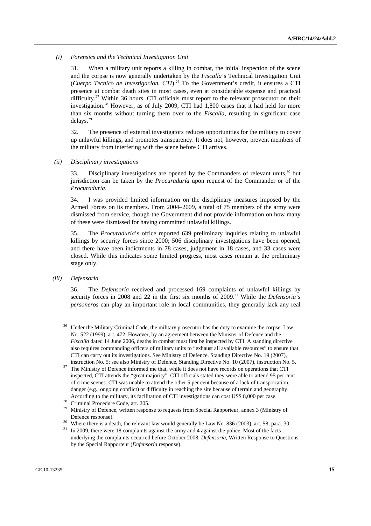#### *(i) Forensics and the Technical Investigation Unit*

31. When a military unit reports a killing in combat, the initial inspection of the scene and the corpse is now generally undertaken by the *Fiscalía*'s Technical Investigation Unit (*Cuerpo Tecnico de Investigacion*, *CTI*).26 To the Government's credit, it ensures a CTI presence at combat death sites in most cases, even at considerable expense and practical difficulty.<sup>27</sup> Within 36 hours, CTI officials must report to the relevant prosecutor on their investigation.28 However, as of July 2009, CTI had 1,800 cases that it had held for more than six months without turning them over to the *Fiscalía*, resulting in significant case delays.29

32. The presence of external investigators reduces opportunities for the military to cover up unlawful killings, and promotes transparency. It does not, however, prevent members of the military from interfering with the scene before CTI arrives.

#### *(ii) Disciplinary investigations*

33. Disciplinary investigations are opened by the Commanders of relevant units, $30$  but jurisdiction can be taken by the *Procuraduría* upon request of the Commander or of the *Procuraduría*.

34. I was provided limited information on the disciplinary measures imposed by the Armed Forces on its members. From 2004–2009, a total of 75 members of the army were dismissed from service, though the Government did not provide information on how many of these were dismissed for having committed unlawful killings.

35. The *Procuraduría*'s office reported 639 preliminary inquiries relating to unlawful killings by security forces since 2000; 506 disciplinary investigations have been opened, and there have been indictments in 78 cases, judgement in 18 cases, and 33 cases were closed. While this indicates some limited progress, most cases remain at the preliminary stage only.

#### *(iii) Defensoría*

36. The *Defensoría* received and processed 169 complaints of unlawful killings by security forces in 2008 and 22 in the first six months of 2009.<sup>31</sup> While the *Defensoría*'s *personeros* can play an important role in local communities, they generally lack any real

<sup>&</sup>lt;sup>26</sup> Under the Military Criminal Code, the military prosecutor has the duty to examine the corpse. Law No. 522 (1999), art. 472. However, by an agreement between the Minister of Defence and the *Fiscalía* dated 14 June 2006, deaths in combat must first be inspected by CTI. A standing directive also requires commanding officers of military units to "exhaust all available resources" to ensure that CTI can carry out its investigations. See Ministry of Defence, Standing Directive No. 19 (2007),

instruction No. 5; see also Ministry of Defence, Standing Directive No. 10 (2007), instruction No. 5. 27 The Ministry of Defence informed me that, while it does not have records on operations that CTI inspected, CTI attends the "great majority". CTI officials stated they were able to attend 95 per cent of crime scenes. CTI was unable to attend the other 5 per cent because of a lack of transportation, danger (e.g., ongoing conflict) or difficulty in reaching the site because of terrain and geography. According to the military, its facilitation of CTI investigations can cost US\$ 8,000 per case. 28 Criminal Procedure Code, art. 205.

<sup>&</sup>lt;sup>29</sup> Ministry of Defence, written response to requests from Special Rapporteur, annex 3 (Ministry of

Defence response).<br><sup>30</sup> Where there is a death, the relevant law would generally be Law No. 836 (2003), art. 58, para. 30.<br><sup>31</sup> In 2009, there were 18 complaints against the army and 4 against the police. Most of the facts underlying the complaints occurred before October 2008. *Defensoría*, Written Response to Questions by the Special Rapporteur (*Defensoría* response).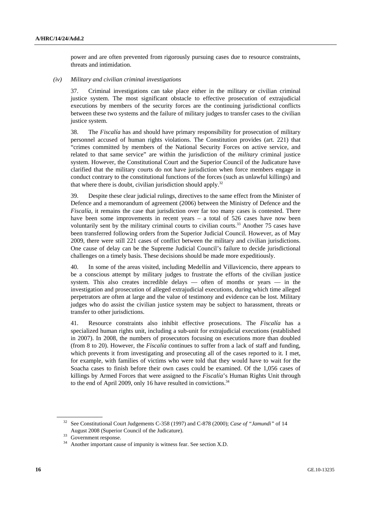power and are often prevented from rigorously pursuing cases due to resource constraints, threats and intimidation.

#### *(iv) Military and civilian criminal investigations*

37. Criminal investigations can take place either in the military or civilian criminal justice system. The most significant obstacle to effective prosecution of extrajudicial executions by members of the security forces are the continuing jurisdictional conflicts between these two systems and the failure of military judges to transfer cases to the civilian justice system.

38. The *Fiscalía* has and should have primary responsibility for prosecution of military personnel accused of human rights violations. The Constitution provides (art. 221) that "crimes committed by members of the National Security Forces on active service, and related to that same service" are within the jurisdiction of the *military* criminal justice system. However, the Constitutional Court and the Superior Council of the Judicature have clarified that the military courts do not have jurisdiction when force members engage in conduct contrary to the constitutional functions of the forces (such as unlawful killings) and that where there is doubt, civilian jurisdiction should apply.<sup>32</sup>

39. Despite these clear judicial rulings, directives to the same effect from the Minister of Defence and a memorandum of agreement (2006) between the Ministry of Defence and the *Fiscalía*, it remains the case that jurisdiction over far too many cases is contested. There have been some improvements in recent years – a total of 526 cases have now been voluntarily sent by the military criminal courts to civilian courts.33 Another 75 cases have been transferred following orders from the Superior Judicial Council. However, as of May 2009, there were still 221 cases of conflict between the military and civilian jurisdictions. One cause of delay can be the Supreme Judicial Council's failure to decide jurisdictional challenges on a timely basis. These decisions should be made more expeditiously.

40. In some of the areas visited, including Medellín and Villavicencio, there appears to be a conscious attempt by military judges to frustrate the efforts of the civilian justice system. This also creates incredible delays — often of months or years — in the investigation and prosecution of alleged extrajudicial executions, during which time alleged perpetrators are often at large and the value of testimony and evidence can be lost. Military judges who do assist the civilian justice system may be subject to harassment, threats or transfer to other jurisdictions.

41. Resource constraints also inhibit effective prosecutions. The *Fiscalía* has a specialized human rights unit, including a sub-unit for extrajudicial executions (established in 2007). In 2008, the numbers of prosecutors focusing on executions more than doubled (from 8 to 20). However, the *Fiscalía* continues to suffer from a lack of staff and funding, which prevents it from investigating and prosecuting all of the cases reported to it. I met, for example, with families of victims who were told that they would have to wait for the Soacha cases to finish before their own cases could be examined. Of the 1,056 cases of killings by Armed Forces that were assigned to the *Fiscalía*'s Human Rights Unit through to the end of April 2009, only 16 have resulted in convictions.<sup>34</sup>

<sup>32</sup> See Constitutional Court Judgements C-358 (1997) and C-878 (2000); *Case of "Jamundi"* of 14 August 2008 (Superior Council of the Judicature). 33 Government response.

Another important cause of impunity is witness fear. See section X.D.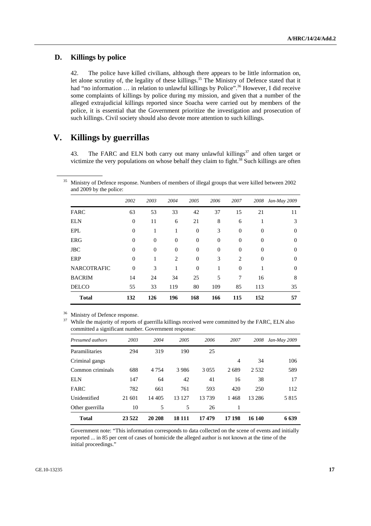## **D. Killings by police**

42. The police have killed civilians, although there appears to be little information on, let alone scrutiny of, the legality of these killings.<sup>35</sup> The Ministry of Defence stated that it had "no information ... in relation to unlawful killings by Police".<sup>36</sup> However, I did receive some complaints of killings by police during my mission, and given that a number of the alleged extrajudicial killings reported since Soacha were carried out by members of the police, it is essential that the Government prioritize the investigation and prosecution of such killings. Civil society should also devote more attention to such killings.

## **V. Killings by guerrillas**

43. The FARC and ELN both carry out many unlawful killings $37$  and often target or victimize the very populations on whose behalf they claim to fight. $38$  Such killings are often

<sup>35</sup> Ministry of Defence response. Numbers of members of illegal groups that were killed between 2002 and 2009 by the police:

|                    | 2002         | 2003             | 2004           | 2005             | 2006           | 2007             | 2008           | Jan-May 2009 |
|--------------------|--------------|------------------|----------------|------------------|----------------|------------------|----------------|--------------|
| FARC               | 63           | 53               | 33             | 42               | 37             | 15               | 21             | 11           |
| <b>ELN</b>         | $\theta$     | 11               | 6              | 21               | 8              | 6                | 1              | 3            |
| <b>EPL</b>         | $\mathbf{0}$ | 1                | 1              | $\boldsymbol{0}$ | 3              | $\boldsymbol{0}$ | $\overline{0}$ | $\theta$     |
| <b>ERG</b>         | $\mathbf{0}$ | $\boldsymbol{0}$ | $\overline{0}$ | $\boldsymbol{0}$ | $\overline{0}$ | $\overline{0}$   | $\overline{0}$ | $\theta$     |
| <b>JBC</b>         | $\mathbf{0}$ | $\overline{0}$   | $\overline{0}$ | $\mathbf{0}$     | $\overline{0}$ | $\overline{0}$   | $\overline{0}$ | $\theta$     |
| ERP                | $\theta$     | 1                | 2              | $\mathbf{0}$     | 3              | 2                | $\overline{0}$ | $\Omega$     |
| <b>NARCOTRAFIC</b> | $\Omega$     | 3                | 1              | $\Omega$         | 1              | $\Omega$         |                | $\Omega$     |
| <b>BACRIM</b>      | 14           | 24               | 34             | 25               | 5              | 7                | 16             | 8            |
| <b>DELCO</b>       | 55           | 33               | 119            | 80               | 109            | 85               | 113            | 35           |
| <b>Total</b>       | 132          | 126              | 196            | 168              | 166            | 115              | 152            | 57           |

Ministry of Defence response.

<sup>37</sup> While the majority of reports of guerrilla killings received were committed by the FARC, ELN also committed a significant number. Government response:

| Presumed authors | 2003    | 2004    | 2005   | 2006    | 2007   | 2008     | Jan-May 2009 |
|------------------|---------|---------|--------|---------|--------|----------|--------------|
| Paramilitaries   | 294     | 319     | 190    | 25      |        |          |              |
| Criminal gangs   |         |         |        |         | 4      | 34       | 106          |
| Common criminals | 688     | 4 7 5 4 | 3986   | 3 0 5 5 | 2689   | 2.532    | 589          |
| <b>ELN</b>       | 147     | 64      | 42     | 41      | 16     | 38       | 17           |
| <b>FARC</b>      | 782     | 661     | 761    | 593     | 420    | 250      | 112          |
| Unidentified     | 21 601  | 14 4 05 | 13 127 | 13739   | 1468   | 13 2 8 6 | 5815         |
| Other guerrilla  | 10      | 5       | 5      | 26      |        |          |              |
| <b>Total</b>     | 23 5 22 | 20 20 8 | 18 111 | 17479   | 17 198 | 16 140   | 6639         |

Government note: "This information corresponds to data collected on the scene of events and initially reported ... in 85 per cent of cases of homicide the alleged author is not known at the time of the initial proceedings."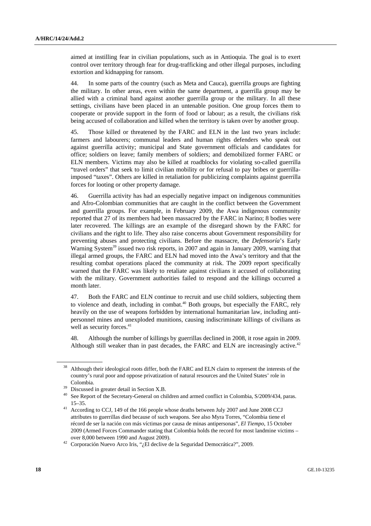aimed at instilling fear in civilian populations, such as in Antioquia. The goal is to exert control over territory through fear for drug-trafficking and other illegal purposes, including extortion and kidnapping for ransom.

44. In some parts of the country (such as Meta and Cauca), guerrilla groups are fighting the military. In other areas, even within the same department, a guerrilla group may be allied with a criminal band against another guerrilla group or the military. In all these settings, civilians have been placed in an untenable position. One group forces them to cooperate or provide support in the form of food or labour; as a result, the civilians risk being accused of collaboration and killed when the territory is taken over by another group.

45. Those killed or threatened by the FARC and ELN in the last two years include: farmers and labourers; communal leaders and human rights defenders who speak out against guerrilla activity; municipal and State government officials and candidates for office; soldiers on leave; family members of soldiers; and demobilized former FARC or ELN members. Victims may also be killed at roadblocks for violating so-called guerrilla "travel orders" that seek to limit civilian mobility or for refusal to pay bribes or guerrillaimposed "taxes". Others are killed in retaliation for publicizing complaints against guerrilla forces for looting or other property damage.

46. Guerrilla activity has had an especially negative impact on indigenous communities and Afro-Colombian communities that are caught in the conflict between the Government and guerrilla groups. For example, in February 2009, the Awa indigenous community reported that 27 of its members had been massacred by the FARC in Narino; 8 bodies were later recovered. The killings are an example of the disregard shown by the FARC for civilians and the right to life. They also raise concerns about Government responsibility for preventing abuses and protecting civilians. Before the massacre, the *Defensoría*'s Early Warning System<sup>39</sup> issued two risk reports, in 2007 and again in January 2009, warning that illegal armed groups, the FARC and ELN had moved into the Awa's territory and that the resulting combat operations placed the community at risk. The 2009 report specifically warned that the FARC was likely to retaliate against civilians it accused of collaborating with the military. Government authorities failed to respond and the killings occurred a month later.

47. Both the FARC and ELN continue to recruit and use child soldiers, subjecting them to violence and death, including in combat.<sup>40</sup> Both groups, but especially the FARC, rely heavily on the use of weapons forbidden by international humanitarian law, including antipersonnel mines and unexploded munitions, causing indiscriminate killings of civilians as well as security forces.<sup>41</sup>

48. Although the number of killings by guerrillas declined in 2008, it rose again in 2009. Although still weaker than in past decades, the FARC and ELN are increasingly active.<sup>42</sup>

<sup>38</sup> Although their ideological roots differ, both the FARC and ELN claim to represent the interests of the country's rural poor and oppose privatization of natural resources and the United States' role in Colombia.<br><sup>39</sup> Discussed in greater detail in Section X.B.<br><sup>40</sup> See Report of the Secretary-General on children and armed conflict in Colombia, S/2009/434, paras.

<sup>15–35. 41</sup> According to CCJ, 149 of the 166 people whose deaths between July 2007 and June 2008 CCJ attributes to guerrillas died because of such weapons. See also Myra Torres, "Colombia tiene el récord de ser la nación con más víctimas por causa de minas antipersonas", *El Tiempo*, 15 October 2009 (Armed Forces Commander stating that Colombia holds the record for most landmine victims –

over 8,000 between 1990 and August 2009). 42 Corporación Nuevo Arco Iris, "¿El declive de la Seguridad Democrática?", 2009.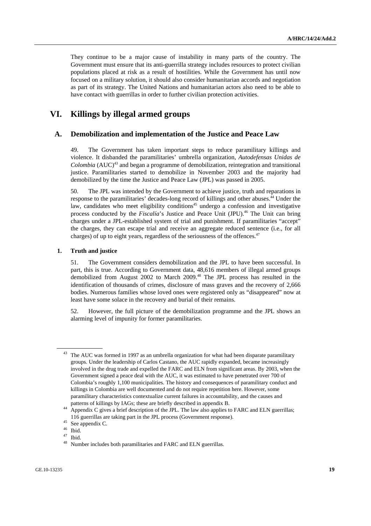They continue to be a major cause of instability in many parts of the country. The Government must ensure that its anti-guerrilla strategy includes resources to protect civilian populations placed at risk as a result of hostilities. While the Government has until now focused on a military solution, it should also consider humanitarian accords and negotiation as part of its strategy. The United Nations and humanitarian actors also need to be able to have contact with guerrillas in order to further civilian protection activities.

# **VI. Killings by illegal armed groups**

### **A. Demobilization and implementation of the Justice and Peace Law**

49. The Government has taken important steps to reduce paramilitary killings and violence. It disbanded the paramilitaries' umbrella organization, *Autodefensas Unidas de Colombia* (AUC)<sup>43</sup> and began a programme of demobilization, reintegration and transitional justice. Paramilitaries started to demobilize in November 2003 and the majority had demobilized by the time the Justice and Peace Law (JPL) was passed in 2005.

50. The JPL was intended by the Government to achieve justice, truth and reparations in response to the paramilitaries' decades-long record of killings and other abuses.44 Under the law, candidates who meet eligibility conditions<sup>45</sup> undergo a confession and investigative process conducted by the *Fiscalía*'s Justice and Peace Unit (JPU).<sup>46</sup> The Unit can bring charges under a JPL-established system of trial and punishment. If paramilitaries "accept" the charges, they can escape trial and receive an aggregate reduced sentence (i.e., for all charges) of up to eight years, regardless of the seriousness of the offences.<sup>47</sup>

#### **1. Truth and justice**

51. The Government considers demobilization and the JPL to have been successful. In part, this is true. According to Government data, 48,616 members of illegal armed groups demobilized from August 2002 to March 2009.<sup>48</sup> The JPL process has resulted in the identification of thousands of crimes, disclosure of mass graves and the recovery of 2,666 bodies. Numerous families whose loved ones were registered only as "disappeared" now at least have some solace in the recovery and burial of their remains.

52. However, the full picture of the demobilization programme and the JPL shows an alarming level of impunity for former paramilitaries.

<sup>&</sup>lt;sup>43</sup> The AUC was formed in 1997 as an umbrella organization for what had been disparate paramilitary groups. Under the leadership of Carlos Castano, the AUC rapidly expanded, became increasingly involved in the drug trade and expelled the FARC and ELN from significant areas. By 2003, when the Government signed a peace deal with the AUC, it was estimated to have penetrated over 700 of Colombia's roughly 1,100 municipalities. The history and consequences of paramilitary conduct and killings in Colombia are well documented and do not require repetition here. However, some paramilitary characteristics contextualize current failures in accountability, and the causes and

patterns of killings by IAGs; these are briefly described in appendix B. 44 Appendix C gives a brief description of the JPL. The law also applies to FARC and ELN guerrillas; 116 guerrillas are taking part in the JPL process (Government response). 45 See appendix C.

 $\frac{46}{47}$  Ibid.

 $^{47}$  Ibid.

Number includes both paramilitaries and FARC and ELN guerrillas.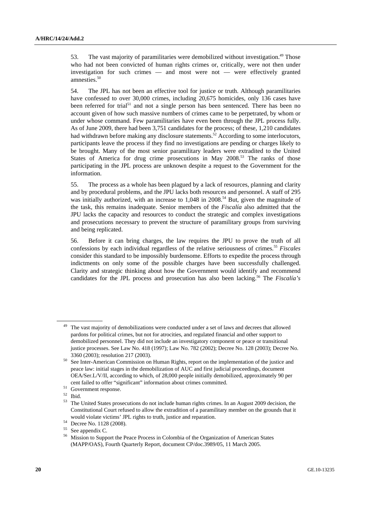53. The vast majority of paramilitaries were demobilized without investigation.<sup>49</sup> Those who had not been convicted of human rights crimes or, critically, were not then under investigation for such crimes — and most were not — were effectively granted amnesties.<sup>50</sup>

54. The JPL has not been an effective tool for justice or truth. Although paramilitaries have confessed to over 30,000 crimes, including 20,675 homicides, only 136 cases have been referred for trial<sup>51</sup> and not a single person has been sentenced. There has been no account given of how such massive numbers of crimes came to be perpetrated, by whom or under whose command. Few paramilitaries have even been through the JPL process fully. As of June 2009, there had been 3,751 candidates for the process; of these, 1,210 candidates had withdrawn before making any disclosure statements.<sup>52</sup> According to some interlocutors, participants leave the process if they find no investigations are pending or charges likely to be brought. Many of the most senior paramilitary leaders were extradited to the United States of America for drug crime prosecutions in May 2008.<sup>53</sup> The ranks of those participating in the JPL process are unknown despite a request to the Government for the information.

55. The process as a whole has been plagued by a lack of resources, planning and clarity and by procedural problems, and the JPU lacks both resources and personnel. A staff of 295 was initially authorized, with an increase to 1,048 in 2008.<sup>54</sup> But, given the magnitude of the task, this remains inadequate. Senior members of the *Fiscalía* also admitted that the JPU lacks the capacity and resources to conduct the strategic and complex investigations and prosecutions necessary to prevent the structure of paramilitary groups from surviving and being replicated.

56. Before it can bring charges, the law requires the JPU to prove the truth of all confessions by each individual regardless of the relative seriousness of crimes.55 *Fiscales* consider this standard to be impossibly burdensome. Efforts to expedite the process through indictments on only some of the possible charges have been successfully challenged. Clarity and strategic thinking about how the Government would identify and recommend candidates for the JPL process and prosecution has also been lacking.56 The *Fiscalía's*

 $\frac{52}{53}$  Ibid.

The vast majority of demobilizations were conducted under a set of laws and decrees that allowed pardons for political crimes, but not for atrocities, and regulated financial and other support to demobilized personnel. They did not include an investigatory component or peace or transitional justice processes. See Law No. 418 (1997); Law No. 782 (2002); Decree No. 128 (2003); Decree No.

<sup>3360 (2003);</sup> resolution 217 (2003).<br><sup>50</sup> See Inter-American Commission on Human Rights, report on the implementation of the justice and peace law: initial stages in the demobilization of AUC and first judicial proceedings, document OEA/Ser.L/V/II, according to which, of 28,000 people initially demobilized, approximately 90 per cent failed to offer "significant" information about crimes committed. 51 Government response.

The United States prosecutions do not include human rights crimes. In an August 2009 decision, the Constitutional Court refused to allow the extradition of a paramilitary member on the grounds that it would violate victims' JPL rights to truth, justice and reparation.<br>  $^{54}$  Decree No. 1128 (2008).<br>  $^{55}$  Seconometric G

See appendix C.

<sup>56</sup> Mission to Support the Peace Process in Colombia of the Organization of American States (MAPP/OAS), Fourth Quarterly Report, document CP/doc.3989/05, 11 March 2005.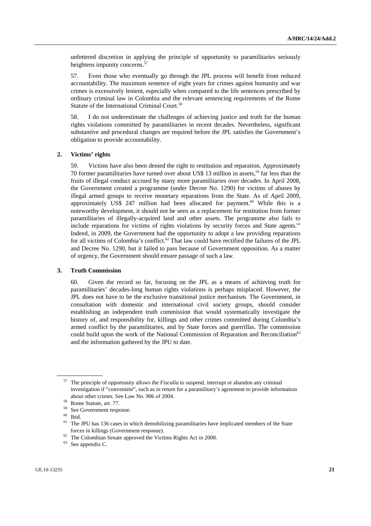unfettered discretion in applying the principle of opportunity to paramilitaries seriously heightens impunity concerns.<sup>57</sup>

57. Even those who eventually go through the JPL process will benefit from reduced accountability. The maximum sentence of eight years for crimes against humanity and war crimes is excessively lenient, especially when compared to the life sentences prescribed by ordinary criminal law in Colombia and the relevant sentencing requirements of the Rome Statute of the International Criminal Court.<sup>58</sup>

58. I do not underestimate the challenges of achieving justice and truth for the human rights violations committed by paramilitaries in recent decades. Nevertheless, significant substantive and procedural changes are required before the JPL satisfies the Government's obligation to provide accountability.

#### **2. Victims' rights**

59. Victims have also been denied the right to restitution and reparation. Approximately 70 former paramilitaries have turned over about US\$ 13 million in assets,<sup>59</sup> far less than the fruits of illegal conduct accrued by many more paramilitaries over decades. In April 2008, the Government created a programme (under Decree No. 1290) for victims of abuses by illegal armed groups to receive monetary reparations from the State. As of April 2009, approximately US\$ 247 million had been allocated for payment.<sup>60</sup> While this is a noteworthy development, it should not be seen as a replacement for restitution from former paramilitaries of illegally-acquired land and other assets. The programme also fails to include reparations for victims of rights violations by security forces and State agents.<sup>61</sup> Indeed, in 2009, the Government had the opportunity to adopt a law providing reparations for all victims of Colombia's conflict.<sup>62</sup> That law could have rectified the failures of the JPL and Decree No. 1290, but it failed to pass because of Government opposition. As a matter of urgency, the Government should ensure passage of such a law.

#### **3. Truth Commission**

60. Given the record so far, focusing on the JPL as a means of achieving truth for paramilitaries' decades-long human rights violations is perhaps misplaced. However, the JPL does not have to be the exclusive transitional justice mechanism. The Government, in consultation with domestic and international civil society groups, should consider establishing an independent truth commission that would systematically investigate the history of, and responsibility for, killings and other crimes committed during Colombia's armed conflict by the paramilitaries, and by State forces and guerrillas. The commission could build upon the work of the National Commission of Reparation and Reconciliation<sup>63</sup> and the information gathered by the JPU to date.

<sup>57</sup> The principle of opportunity allows the *Fiscalía* to suspend, interrupt or abandon any criminal investigation if "convenient", such as in return for a paramilitary's agreement to provide information about other crimes. See Law No. 906 of 2004. 58 Rome Statute, art. 77.

<sup>59</sup> See Government response.

 $\begin{bmatrix} 60 \\ 61 \end{bmatrix}$  Ibid.

<sup>61</sup> The JPU has 136 cases in which demobilizing paramilitaries have implicated members of the State forces in killings (Government response).<br><sup>62</sup> The Colombian Senate approved the Victims Rights Act in 2008.<br><sup>63</sup> See approved in C

See appendix C.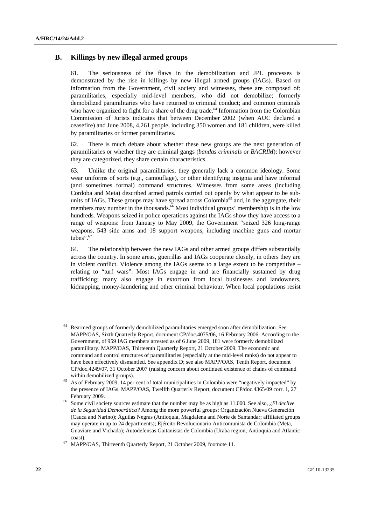## **B. Killings by new illegal armed groups**

61. The seriousness of the flaws in the demobilization and JPL processes is demonstrated by the rise in killings by new illegal armed groups (IAGs). Based on information from the Government, civil society and witnesses, these are composed of: paramilitaries, especially mid-level members, who did not demobilize; formerly demobilized paramilitaries who have returned to criminal conduct; and common criminals who have organized to fight for a share of the drug trade.<sup> $64$ </sup> Information from the Colombian Commission of Jurists indicates that between December 2002 (when AUC declared a ceasefire) and June 2008, 4,261 people, including 350 women and 181 children, were killed by paramilitaries or former paramilitaries.

62. There is much debate about whether these new groups are the next generation of paramilitaries or whether they are criminal gangs (*bandas criminals* or *BACRIM*): however they are categorized, they share certain characteristics.

63. Unlike the original paramilitaries, they generally lack a common ideology. Some wear uniforms of sorts (e.g., camouflage), or other identifying insignia and have informal (and sometimes formal) command structures. Witnesses from some areas (including Cordoba and Meta) described armed patrols carried out openly by what appear to be subunits of IAGs. These groups may have spread across Colombia<sup>65</sup> and, in the aggregate, their members may number in the thousands.<sup>66</sup> Most individual groups' membership is in the low hundreds. Weapons seized in police operations against the IAGs show they have access to a range of weapons: from January to May 2009, the Government "seized 326 long-range weapons, 543 side arms and 18 support weapons, including machine guns and mortar tubes".<sup>67</sup>

64. The relationship between the new IAGs and other armed groups differs substantially across the country. In some areas, guerrillas and IAGs cooperate closely, in others they are in violent conflict. Violence among the IAGs seems to a large extent to be competitive – relating to "turf wars". Most IAGs engage in and are financially sustained by drug trafficking; many also engage in extortion from local businesses and landowners, kidnapping, money-laundering and other criminal behaviour. When local populations resist

<sup>64</sup> Rearmed groups of formerly demobilized paramilitaries emerged soon after demobilization. See MAPP/OAS, Sixth Quarterly Report, document CP/doc.4075/06, 16 February 2006. According to the Government, of 959 IAG members arrested as of 6 June 2009, 181 were formerly demobilized paramilitary. MAPP/OAS, Thirteenth Quarterly Report, 21 October 2009. The economic and command and control structures of paramilitaries (especially at the mid-level ranks) do not appear to have been effectively dismantled. See appendix D; see also MAPP/OAS, Tenth Report, document CP/doc.4249/07, 31 October 2007 (raising concern about continued existence of chains of command within demobilized groups).<br>As of February 2009, 14 per cent of total municipalities in Colombia were "negatively impacted" by

the presence of IAGs. MAPP/OAS, Twelfth Quarterly Report, document CP/doc.4365/09 corr. 1, 27 February 2009.<br>Some civil society sources estimate that the number may be as high as 11,000. See also, *¿El declive* 

*de la Seguridad Democrática?* Among the more powerful groups: Organización Nueva Generación (Cauca and Narino); Águilas Negras (Antioquia, Magdalena and Norte de Santandar; affiliated groups may operate in up to 24 departments); Ejército Revolucionario Anticomunista de Colombia (Meta, Guaviare and Vichada); Autodefensas Gaitanistas de Colombia (Uraba region; Antioquia and Atlantic

coast). 67 MAPP/OAS, Thirteenth Quarterly Report, 21 October 2009, footnote 11.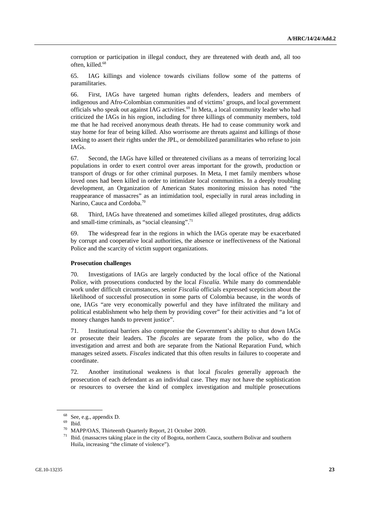corruption or participation in illegal conduct, they are threatened with death and, all too often, killed.<sup>68</sup>

65. IAG killings and violence towards civilians follow some of the patterns of paramilitaries.

66. First, IAGs have targeted human rights defenders, leaders and members of indigenous and Afro-Colombian communities and of victims' groups, and local government officials who speak out against IAG activities.<sup>69</sup> In Meta, a local community leader who had criticized the IAGs in his region, including for three killings of community members, told me that he had received anonymous death threats. He had to cease community work and stay home for fear of being killed. Also worrisome are threats against and killings of those seeking to assert their rights under the JPL, or demobilized paramilitaries who refuse to join IAGs.

67. Second, the IAGs have killed or threatened civilians as a means of terrorizing local populations in order to exert control over areas important for the growth, production or transport of drugs or for other criminal purposes. In Meta, I met family members whose loved ones had been killed in order to intimidate local communities. In a deeply troubling development, an Organization of American States monitoring mission has noted "the reappearance of massacres" as an intimidation tool, especially in rural areas including in Narino, Cauca and Cordoba.<sup>70</sup>

68. Third, IAGs have threatened and sometimes killed alleged prostitutes, drug addicts and small-time criminals, as "social cleansing".<sup>71</sup>

69. The widespread fear in the regions in which the IAGs operate may be exacerbated by corrupt and cooperative local authorities, the absence or ineffectiveness of the National Police and the scarcity of victim support organizations.

#### **Prosecution challenges**

70. Investigations of IAGs are largely conducted by the local office of the National Police, with prosecutions conducted by the local *Fiscalía*. While many do commendable work under difficult circumstances, senior *Fiscalía* officials expressed scepticism about the likelihood of successful prosecution in some parts of Colombia because, in the words of one, IAGs "are very economically powerful and they have infiltrated the military and political establishment who help them by providing cover" for their activities and "a lot of money changes hands to prevent justice".

71. Institutional barriers also compromise the Government's ability to shut down IAGs or prosecute their leaders. The *fiscales* are separate from the police, who do the investigation and arrest and both are separate from the National Reparation Fund, which manages seized assets. *Fiscales* indicated that this often results in failures to cooperate and coordinate.

72. Another institutional weakness is that local *fiscales* generally approach the prosecution of each defendant as an individual case. They may not have the sophistication or resources to oversee the kind of complex investigation and multiple prosecutions

<sup>68</sup> See, e.g., appendix D.

<sup>69</sup> Ibid.

<sup>70</sup> MAPP/OAS, Thirteenth Quarterly Report, 21 October 2009.

<sup>71</sup> Ibid. (massacres taking place in the city of Bogota, northern Cauca, southern Bolivar and southern Huila, increasing "the climate of violence").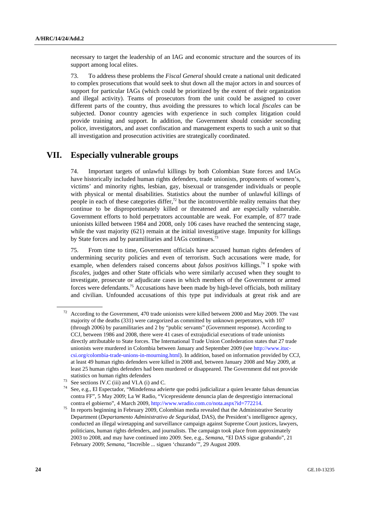necessary to target the leadership of an IAG and economic structure and the sources of its support among local elites.

73. To address these problems the *Fiscal General* should create a national unit dedicated to complex prosecutions that would seek to shut down all the major actors in and sources of support for particular IAGs (which could be prioritized by the extent of their organization and illegal activity). Teams of prosecutors from the unit could be assigned to cover different parts of the country, thus avoiding the pressures to which local *fiscales* can be subjected. Donor country agencies with experience in such complex litigation could provide training and support. In addition, the Government should consider seconding police, investigators, and asset confiscation and management experts to such a unit so that all investigation and prosecution activities are strategically coordinated.

## **VII. Especially vulnerable groups**

74. Important targets of unlawful killings by both Colombian State forces and IAGs have historically included human rights defenders, trade unionists, proponents of women's, victims' and minority rights, lesbian, gay, bisexual or transgender individuals or people with physical or mental disabilities. Statistics about the number of unlawful killings of people in each of these categories differ, $^{72}$  but the incontrovertible reality remains that they continue to be disproportionately killed or threatened and are especially vulnerable. Government efforts to hold perpetrators accountable are weak. For example, of 877 trade unionists killed between 1984 and 2008, only 106 cases have reached the sentencing stage, while the vast majority (621) remain at the initial investigative stage. Impunity for killings by State forces and by paramilitaries and IAGs continues.<sup>7</sup>

75. From time to time, Government officials have accused human rights defenders of undermining security policies and even of terrorism. Such accusations were made, for example, when defenders raised concerns about *falsos positivos* killings.74 I spoke with *fiscales*, judges and other State officials who were similarly accused when they sought to investigate, prosecute or adjudicate cases in which members of the Government or armed forces were defendants.<sup>75</sup> Accusations have been made by high-level officials, both military and civilian. Unfounded accusations of this type put individuals at great risk and are

 $72$  According to the Government, 470 trade unionists were killed between 2000 and May 2009. The vast majority of the deaths (331) were categorized as committed by unknown perpetrators, with 107 (through 2006) by paramilitaries and 2 by "public servants" (Government response). According to CCJ, between 1986 and 2008, there were 41 cases of extrajudicial executions of trade unionists directly attributable to State forces. The International Trade Union Confederation states that 27 trade unionists were murdered in Colombia between January and September 2009 (see http://www.ituccsi.org/colombia-trade-unions-in-mourning.html). In addition, based on information provided by CCJ, at least 49 human rights defenders were killed in 2008 and, between January 2008 and May 2009, at least 25 human rights defenders had been murdered or disappeared. The Government did not provide statistics on human rights defenders<br>
<sup>73</sup> See sections IV.C (iii) and VI.A (i) and C.<br>
<sup>74</sup> See, e.g., El Espectador, "Mindefensa advierte que podrá judicializar a quien levante falsas denuncias

contra FF", 5 May 2009; La W Radio, "Vicepresidente denuncia plan de desprestigio internacional

contra el gobierno", 4 March 2009, http://www.wradio.com.co/nota.aspx?id=772214. 75 In reports beginning in February 2009, Colombian media revealed that the Administrative Security Department (*Departamento Administrativo de Seguridad*, DAS), the President's intelligence agency, conducted an illegal wiretapping and surveillance campaign against Supreme Court justices, lawyers, politicians, human rights defenders, and journalists. The campaign took place from approximately 2003 to 2008, and may have continued into 2009. See, e.g., *Semana*, "El DAS sigue grabando", 21 February 2009; *Semana*, "Increíble ... siguen 'chuzando'", 29 August 2009.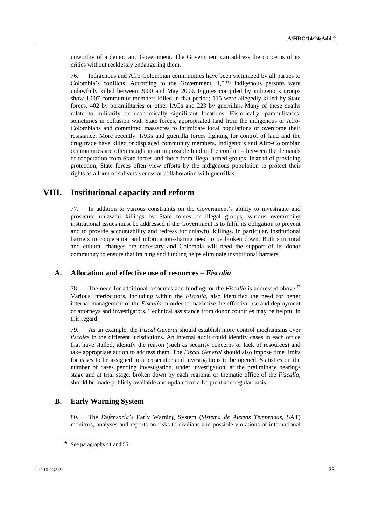unworthy of a democratic Government. The Government can address the concerns of its critics without recklessly endangering them.

76. Indigenous and Afro-Colombian communities have been victimized by all parties to Colombia's conflicts. According to the Government, 1,039 indigenous persons were unlawfully killed between 2000 and May 2009. Figures compiled by indigenous groups show 1,007 community members killed in that period; 115 were allegedly killed by State forces, 402 by paramilitaries or other IAGs and 223 by guerrillas. Many of these deaths relate to militarily or economically significant locations. Historically, paramilitaries, sometimes in collusion with State forces, appropriated land from the indigenous or Afro-Colombians and committed massacres to intimidate local populations or overcome their resistance. More recently, IAGs and guerrilla forces fighting for control of land and the drug trade have killed or displaced community members. Indigenous and Afro-Colombian communities are often caught in an impossible bind in the conflict – between the demands of cooperation from State forces and those from illegal armed groups. Instead of providing protection, State forces often view efforts by the indigenous population to protect their rights as a form of subversiveness or collaboration with guerrillas.

# **VIII. Institutional capacity and reform**

77. In addition to various constraints on the Government's ability to investigate and prosecute unlawful killings by State forces or illegal groups, various overarching institutional issues must be addressed if the Government is to fulfil its obligation to prevent and to provide accountability and redress for unlawful killings. In particular, institutional barriers to cooperation and information-sharing need to be broken down. Both structural and cultural changes are necessary and Colombia will need the support of its donor community to ensure that training and funding helps eliminate institutional barriers.

### **A. Allocation and effective use of resources –** *Fiscalía*

78. The need for additional resources and funding for the *Fiscalía* is addressed above.<sup>76</sup> Various interlocutors, including within the *Fiscalía*, also identified the need for better internal management of the *Fiscalía* in order to maximize the effective use and deployment of attorneys and investigators. Technical assistance from donor countries may be helpful in this regard.

79. As an example, the *Fiscal General* should establish more control mechanisms over *fiscales* in the different jurisdictions. An internal audit could identify cases in each office that have stalled, identify the reason (such as security concerns or lack of resources) and take appropriate action to address them. The *Fiscal General* should also impose time limits for cases to be assigned to a prosecutor and investigations to be opened. Statistics on the number of cases pending investigation, under investigation, at the preliminary hearings stage and at trial stage, broken down by each regional or thematic office of the *Fiscalía*, should be made publicly available and updated on a frequent and regular basis.

## **B. Early Warning System**

80. The *Defensoría's* Early Warning System (*Sistema de Alertas Tempranas*, SAT) monitors, analyses and reports on risks to civilians and possible violations of international

<sup>76</sup> See paragraphs 41 and 55.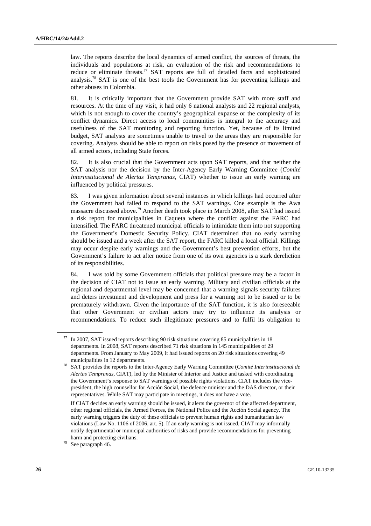law. The reports describe the local dynamics of armed conflict, the sources of threats, the individuals and populations at risk, an evaluation of the risk and recommendations to reduce or eliminate threats.<sup>77</sup> SAT reports are full of detailed facts and sophisticated analysis.78 SAT is one of the best tools the Government has for preventing killings and other abuses in Colombia.

81. It is critically important that the Government provide SAT with more staff and resources. At the time of my visit, it had only 6 national analysts and 22 regional analysts, which is not enough to cover the country's geographical expanse or the complexity of its conflict dynamics. Direct access to local communities is integral to the accuracy and usefulness of the SAT monitoring and reporting function. Yet, because of its limited budget, SAT analysts are sometimes unable to travel to the areas they are responsible for covering. Analysts should be able to report on risks posed by the presence or movement of all armed actors, including State forces.

82. It is also crucial that the Government acts upon SAT reports, and that neither the SAT analysis nor the decision by the Inter-Agency Early Warning Committee (*Comité Interinstitucional de Alertas Tempranas*, CIAT) whether to issue an early warning are influenced by political pressures.

83. I was given information about several instances in which killings had occurred after the Government had failed to respond to the SAT warnings. One example is the Awa massacre discussed above.79 Another death took place in March 2008, after SAT had issued a risk report for municipalities in Caqueta where the conflict against the FARC had intensified. The FARC threatened municipal officials to intimidate them into not supporting the Government's Domestic Security Policy. CIAT determined that no early warning should be issued and a week after the SAT report, the FARC killed a local official. Killings may occur despite early warnings and the Government's best prevention efforts, but the Government's failure to act after notice from one of its own agencies is a stark dereliction of its responsibilities.

84. I was told by some Government officials that political pressure may be a factor in the decision of CIAT not to issue an early warning. Military and civilian officials at the regional and departmental level may be concerned that a warning signals security failures and deters investment and development and press for a warning not to be issued or to be prematurely withdrawn. Given the importance of the SAT function, it is also foreseeable that other Government or civilian actors may try to influence its analysis or recommendations. To reduce such illegitimate pressures and to fulfil its obligation to

In 2007, SAT issued reports describing 90 risk situations covering 85 municipalities in 18 departments. In 2008, SAT reports described 71 risk situations in 145 municipalities of 29 departments. From January to May 2009, it had issued reports on 20 risk situations covering 49

municipalities in 12 departments. 78 SAT provides the reports to the Inter-Agency Early Warning Committee (*Comité Interinstitucional de Alertas Tempranas*, CIAT), led by the Minister of Interior and Justice and tasked with coordinating the Government's response to SAT warnings of possible rights violations. CIAT includes the vicepresident, the high counsellor for Acción Social, the defence minister and the DAS director, or their representatives. While SAT may participate in meetings, it does not have a vote.

If CIAT decides an early warning should be issued, it alerts the governor of the affected department, other regional officials, the Armed Forces, the National Police and the Acción Social agency. The early warning triggers the duty of these officials to prevent human rights and humanitarian law violations (Law No. 1106 of 2006, art. 5). If an early warning is not issued, CIAT may informally notify departmental or municipal authorities of risks and provide recommendations for preventing harm and protecting civilians.<br>
<sup>79</sup> See paragraph 46.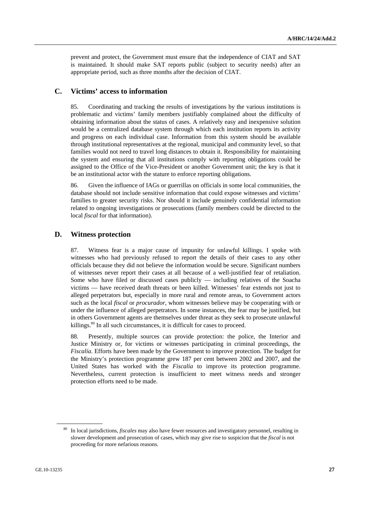prevent and protect, the Government must ensure that the independence of CIAT and SAT is maintained. It should make SAT reports public (subject to security needs) after an appropriate period, such as three months after the decision of CIAT.

### **C. Victims' access to information**

85. Coordinating and tracking the results of investigations by the various institutions is problematic and victims' family members justifiably complained about the difficulty of obtaining information about the status of cases. A relatively easy and inexpensive solution would be a centralized database system through which each institution reports its activity and progress on each individual case. Information from this system should be available through institutional representatives at the regional, municipal and community level, so that families would not need to travel long distances to obtain it. Responsibility for maintaining the system and ensuring that all institutions comply with reporting obligations could be assigned to the Office of the Vice-President or another Government unit; the key is that it be an institutional actor with the stature to enforce reporting obligations.

86. Given the influence of IAGs or guerrillas on officials in some local communities, the database should not include sensitive information that could expose witnesses and victims' families to greater security risks. Nor should it include genuinely confidential information related to ongoing investigations or prosecutions (family members could be directed to the local *fiscal* for that information).

#### **D. Witness protection**

87. Witness fear is a major cause of impunity for unlawful killings. I spoke with witnesses who had previously refused to report the details of their cases to any other officials because they did not believe the information would be secure. Significant numbers of witnesses never report their cases at all because of a well-justified fear of retaliation. Some who have filed or discussed cases publicly — including relatives of the Soacha victims — have received death threats or been killed. Witnesses' fear extends not just to alleged perpetrators but, especially in more rural and remote areas, to Government actors such as the local *fiscal* or *procurador*, whom witnesses believe may be cooperating with or under the influence of alleged perpetrators. In some instances, the fear may be justified, but in others Government agents are themselves under threat as they seek to prosecute unlawful killings.<sup>80</sup> In all such circumstances, it is difficult for cases to proceed.

88. Presently, multiple sources can provide protection: the police, the Interior and Justice Ministry or, for victims or witnesses participating in criminal proceedings, the *Fiscalía*. Efforts have been made by the Government to improve protection. The budget for the Ministry's protection programme grew 187 per cent between 2002 and 2007, and the United States has worked with the *Fiscalía* to improve its protection programme. Nevertheless, current protection is insufficient to meet witness needs and stronger protection efforts need to be made.

<sup>80</sup> In local jurisdictions, *fiscales* may also have fewer resources and investigatory personnel, resulting in slower development and prosecution of cases, which may give rise to suspicion that the *fiscal* is not proceeding for more nefarious reasons.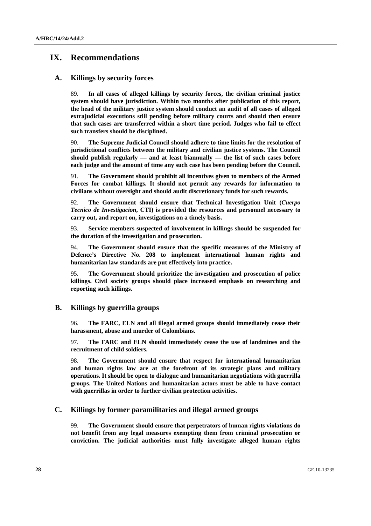# **IX. Recommendations**

## **A. Killings by security forces**

89. **In all cases of alleged killings by security forces, the civilian criminal justice system should have jurisdiction. Within two months after publication of this report, the head of the military justice system should conduct an audit of all cases of alleged extrajudicial executions still pending before military courts and should then ensure that such cases are transferred within a short time period. Judges who fail to effect such transfers should be disciplined.**

90. **The Supreme Judicial Council should adhere to time limits for the resolution of jurisdictional conflicts between the military and civilian justice systems. The Council should publish regularly — and at least biannually — the list of such cases before each judge and the amount of time any such case has been pending before the Council.**

91. **The Government should prohibit all incentives given to members of the Armed Forces for combat killings. It should not permit any rewards for information to civilians without oversight and should audit discretionary funds for such rewards.**

92. **The Government should ensure that Technical Investigation Unit (***Cuerpo Tecnico de Investigacion***, CTI) is provided the resources and personnel necessary to carry out, and report on, investigations on a timely basis.** 

93. **Service members suspected of involvement in killings should be suspended for the duration of the investigation and prosecution.**

94. **The Government should ensure that the specific measures of the Ministry of Defence's Directive No. 208 to implement international human rights and humanitarian law standards are put effectively into practice.** 

95. **The Government should prioritize the investigation and prosecution of police killings. Civil society groups should place increased emphasis on researching and reporting such killings.** 

### **B. Killings by guerrilla groups**

96. **The FARC, ELN and all illegal armed groups should immediately cease their harassment, abuse and murder of Colombians.**

97. **The FARC and ELN should immediately cease the use of landmines and the recruitment of child soldiers.** 

98. **The Government should ensure that respect for international humanitarian and human rights law are at the forefront of its strategic plans and military operations. It should be open to dialogue and humanitarian negotiations with guerrilla groups. The United Nations and humanitarian actors must be able to have contact with guerrillas in order to further civilian protection activities.**

### **C. Killings by former paramilitaries and illegal armed groups**

99. **The Government should ensure that perpetrators of human rights violations do not benefit from any legal measures exempting them from criminal prosecution or conviction. The judicial authorities must fully investigate alleged human rights**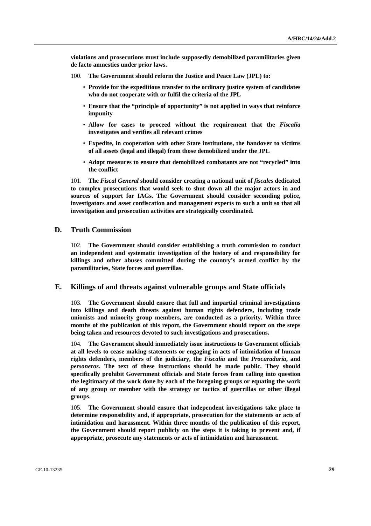**violations and prosecutions must include supposedly demobilized paramilitaries given de facto amnesties under prior laws.** 

- 100. **The Government should reform the Justice and Peace Law (JPL) to:** 
	- **Provide for the expeditious transfer to the ordinary justice system of candidates who do not cooperate with or fulfil the criteria of the JPL**
	- **Ensure that the "principle of opportunity" is not applied in ways that reinforce impunity**
	- **Allow for cases to proceed without the requirement that the** *Fiscalía* **investigates and verifies all relevant crimes**
	- **Expedite, in cooperation with other State institutions, the handover to victims of all assets (legal and illegal) from those demobilized under the JPL**
	- **Adopt measures to ensure that demobilized combatants are not "recycled" into the conflict**

101. **The** *Fiscal General* **should consider creating a national unit of** *fiscales* **dedicated to complex prosecutions that would seek to shut down all the major actors in and sources of support for IAGs. The Government should consider seconding police, investigators and asset confiscation and management experts to such a unit so that all investigation and prosecution activities are strategically coordinated.** 

#### **D. Truth Commission**

102. **The Government should consider establishing a truth commission to conduct an independent and systematic investigation of the history of and responsibility for killings and other abuses committed during the country's armed conflict by the paramilitaries, State forces and guerrillas.** 

### **E. Killings of and threats against vulnerable groups and State officials**

103. **The Government should ensure that full and impartial criminal investigations into killings and death threats against human rights defenders, including trade unionists and minority group members, are conducted as a priority. Within three months of the publication of this report, the Government should report on the steps being taken and resources devoted to such investigations and prosecutions.** 

104. **The Government should immediately issue instructions to Government officials at all levels to cease making statements or engaging in acts of intimidation of human rights defenders, members of the judiciary, the** *Fiscalía* **and the** *Procuraduría***, and**  *personeros***. The text of these instructions should be made public. They should specifically prohibit Government officials and State forces from calling into question the legitimacy of the work done by each of the foregoing groups or equating the work of any group or member with the strategy or tactics of guerrillas or other illegal groups.** 

105. **The Government should ensure that independent investigations take place to determine responsibility and, if appropriate, prosecution for the statements or acts of intimidation and harassment. Within three months of the publication of this report, the Government should report publicly on the steps it is taking to prevent and, if appropriate, prosecute any statements or acts of intimidation and harassment.**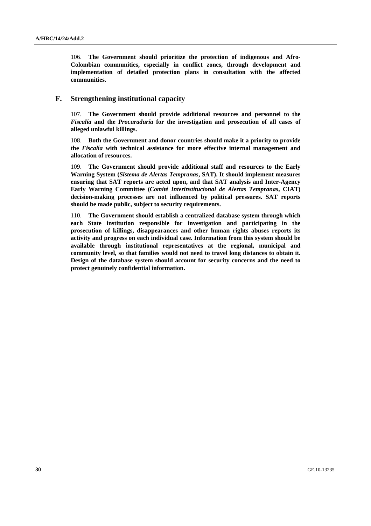106. **The Government should prioritize the protection of indigenous and Afro-Colombian communities, especially in conflict zones, through development and implementation of detailed protection plans in consultation with the affected communities.** 

### **F. Strengthening institutional capacity**

107. **The Government should provide additional resources and personnel to the**  *Fiscalía* **and the** *Procuraduría* **for the investigation and prosecution of all cases of alleged unlawful killings.** 

108. **Both the Government and donor countries should make it a priority to provide the** *Fiscalía* **with technical assistance for more effective internal management and allocation of resources.** 

109. **The Government should provide additional staff and resources to the Early Warning System (***Sistema de Alertas Tempranas***, SAT). It should implement measures ensuring that SAT reports are acted upon, and that SAT analysis and Inter-Agency Early Warning Committee (***Comité Interinstitucional de Alertas Tempranas***, CIAT) decision-making processes are not influenced by political pressures. SAT reports should be made public, subject to security requirements.** 

110. **The Government should establish a centralized database system through which each State institution responsible for investigation and participating in the prosecution of killings, disappearances and other human rights abuses reports its activity and progress on each individual case. Information from this system should be available through institutional representatives at the regional, municipal and community level, so that families would not need to travel long distances to obtain it. Design of the database system should account for security concerns and the need to protect genuinely confidential information.**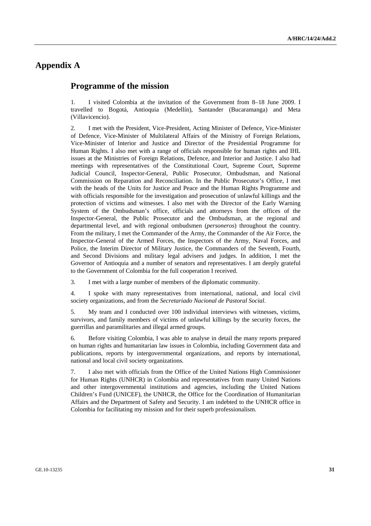# **Appendix A**

## **Programme of the mission**

1. I visited Colombia at the invitation of the Government from 8–18 June 2009. I travelled to Bogotá, Antioquia (Medellín), Santander (Bucaramanga) and Meta (Villavicencio).

2. I met with the President, Vice-President, Acting Minister of Defence, Vice-Minister of Defence, Vice-Minister of Multilateral Affairs of the Ministry of Foreign Relations, Vice-Minister of Interior and Justice and Director of the Presidential Programme for Human Rights. I also met with a range of officials responsible for human rights and IHL issues at the Ministries of Foreign Relations, Defence, and Interior and Justice. I also had meetings with representatives of the Constitutional Court, Supreme Court, Supreme Judicial Council, Inspector-General, Public Prosecutor, Ombudsman, and National Commission on Reparation and Reconciliation. In the Public Prosecutor's Office, I met with the heads of the Units for Justice and Peace and the Human Rights Programme and with officials responsible for the investigation and prosecution of unlawful killings and the protection of victims and witnesses. I also met with the Director of the Early Warning System of the Ombudsman's office, officials and attorneys from the offices of the Inspector-General, the Public Prosecutor and the Ombudsman, at the regional and departmental level, and with regional ombudsmen (*personeros*) throughout the country. From the military, I met the Commander of the Army, the Commander of the Air Force, the Inspector-General of the Armed Forces, the Inspectors of the Army, Naval Forces, and Police, the Interim Director of Military Justice, the Commanders of the Seventh, Fourth, and Second Divisions and military legal advisers and judges. In addition, I met the Governor of Antioquia and a number of senators and representatives. I am deeply grateful to the Government of Colombia for the full cooperation I received.

3. I met with a large number of members of the diplomatic community.

4. I spoke with many representatives from international, national, and local civil society organizations, and from the *Secretariado Nacional de Pastoral Social*.

5. My team and I conducted over 100 individual interviews with witnesses, victims, survivors, and family members of victims of unlawful killings by the security forces, the guerrillas and paramilitaries and illegal armed groups.

6. Before visiting Colombia, I was able to analyse in detail the many reports prepared on human rights and humanitarian law issues in Colombia, including Government data and publications, reports by intergovernmental organizations, and reports by international, national and local civil society organizations.

7. I also met with officials from the Office of the United Nations High Commissioner for Human Rights (UNHCR) in Colombia and representatives from many United Nations and other intergovernmental institutions and agencies, including the United Nations Children's Fund (UNICEF), the UNHCR, the Office for the Coordination of Humanitarian Affairs and the Department of Safety and Security. I am indebted to the UNHCR office in Colombia for facilitating my mission and for their superb professionalism.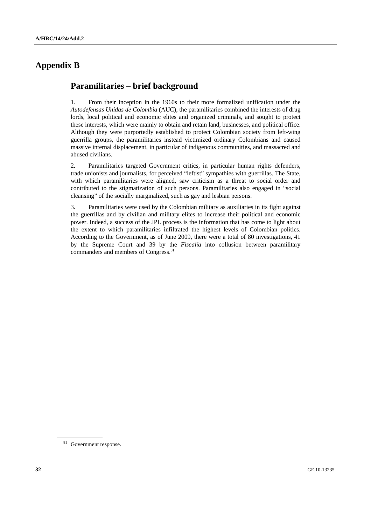# **Appendix B**

# **Paramilitaries – brief background**

1. From their inception in the 1960s to their more formalized unification under the *Autodefensas Unidas de Colombia* (AUC), the paramilitaries combined the interests of drug lords, local political and economic elites and organized criminals, and sought to protect these interests, which were mainly to obtain and retain land, businesses, and political office. Although they were purportedly established to protect Colombian society from left-wing guerrilla groups, the paramilitaries instead victimized ordinary Colombians and caused massive internal displacement, in particular of indigenous communities, and massacred and abused civilians.

2. Paramilitaries targeted Government critics, in particular human rights defenders, trade unionists and journalists, for perceived "leftist" sympathies with guerrillas. The State, with which paramilitaries were aligned, saw criticism as a threat to social order and contributed to the stigmatization of such persons. Paramilitaries also engaged in "social cleansing" of the socially marginalized, such as gay and lesbian persons.

3. Paramilitaries were used by the Colombian military as auxiliaries in its fight against the guerrillas and by civilian and military elites to increase their political and economic power. Indeed, a success of the JPL process is the information that has come to light about the extent to which paramilitaries infiltrated the highest levels of Colombian politics. According to the Government, as of June 2009, there were a total of 80 investigations, 41 by the Supreme Court and 39 by the *Fiscalía* into collusion between paramilitary commanders and members of Congress.<sup>81</sup>

<sup>81</sup> Government response.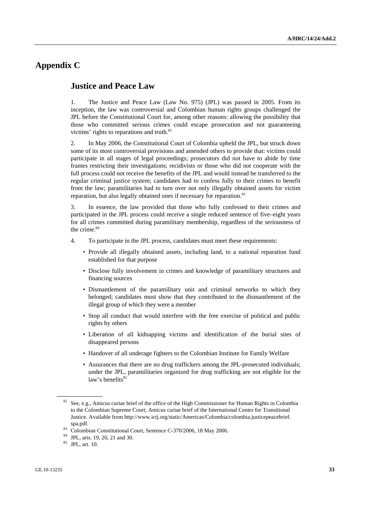# **Appendix C**

## **Justice and Peace Law**

1. The Justice and Peace Law (Law No. 975) (JPL) was passed in 2005. From its inception, the law was controversial and Colombian human rights groups challenged the JPL before the Constitutional Court for, among other reasons: allowing the possibility that those who committed serious crimes could escape prosecution and not guaranteeing victims' rights to reparations and truth.<sup>82</sup>

2. In May 2006, the Constitutional Court of Colombia upheld the JPL, but struck down some of its most controversial provisions and amended others to provide that: victims could participate in all stages of legal proceedings; prosecutors did not have to abide by time frames restricting their investigations; recidivists or those who did not cooperate with the full process could not receive the benefits of the JPL and would instead be transferred to the regular criminal justice system; candidates had to confess fully to their crimes to benefit from the law; paramilitaries had to turn over not only illegally obtained assets for victim reparation, but also legally obtained ones if necessary for reparation.<sup>83</sup>

3. In essence, the law provided that those who fully confessed to their crimes and participated in the JPL process could receive a single reduced sentence of five–eight years for all crimes committed during paramilitary membership, regardless of the seriousness of the crime.<sup>84</sup>

- 4. To participate in the JPL process, candidates must meet these requirements:
	- Provide all illegally obtained assets, including land, to a national reparation fund established for that purpose
	- Disclose fully involvement in crimes and knowledge of paramilitary structures and financing sources
	- Dismantlement of the paramilitary unit and criminal networks to which they belonged; candidates must show that they contributed to the dismantlement of the illegal group of which they were a member
	- Stop all conduct that would interfere with the free exercise of political and public rights by others
	- Liberation of all kidnapping victims and identification of the burial sites of disappeared persons
	- Handover of all underage fighters to the Colombian Institute for Family Welfare
	- Assurances that there are no drug traffickers among the JPL-prosecuted individuals; under the JPL, paramilitaries organized for drug trafficking are not eligible for the law's benefits<sup>85</sup>

<sup>&</sup>lt;sup>82</sup> See, e.g., Amicus curiae brief of the office of the High Commissioner for Human Rights in Colombia to the Colombian Supreme Court; Amicus curiae brief of the International Center for Transitional Justice. Available from http://www.ictj.org/static/Americas/Colombia/colombia.justicepeacebrief.

spa.pdf. 83 Colombian Constitutional Court, Sentence C-370/2006, 18 May 2006.

<sup>84</sup> JPL, arts. 19, 20, 21 and 30.

<sup>85</sup> JPL, art. 10.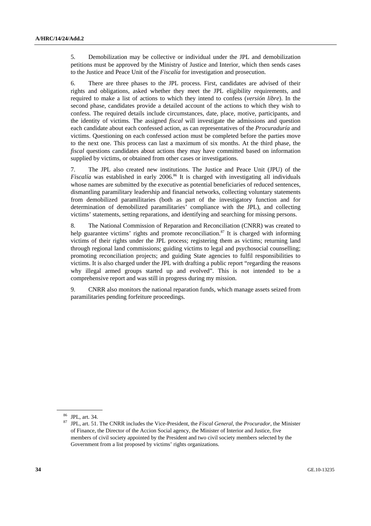5. Demobilization may be collective or individual under the JPL and demobilization petitions must be approved by the Ministry of Justice and Interior, which then sends cases to the Justice and Peace Unit of the *Fiscalía* for investigation and prosecution.

6. There are three phases to the JPL process. First, candidates are advised of their rights and obligations, asked whether they meet the JPL eligibility requirements, and required to make a list of actions to which they intend to confess (*versión libre*). In the second phase, candidates provide a detailed account of the actions to which they wish to confess. The required details include circumstances, date, place, motive, participants, and the identity of victims. The assigned *fiscal* will investigate the admissions and question each candidate about each confessed action, as can representatives of the *Procuraduría* and victims. Questioning on each confessed action must be completed before the parties move to the next one. This process can last a maximum of six months. At the third phase, the *fiscal* questions candidates about actions they may have committed based on information supplied by victims, or obtained from other cases or investigations.

7. The JPL also created new institutions. The Justice and Peace Unit (JPU) of the *Fiscalía* was established in early 2006.<sup>86</sup> It is charged with investigating all individuals whose names are submitted by the executive as potential beneficiaries of reduced sentences, dismantling paramilitary leadership and financial networks, collecting voluntary statements from demobilized paramilitaries (both as part of the investigatory function and for determination of demobilized paramilitaries' compliance with the JPL), and collecting victims' statements, setting reparations, and identifying and searching for missing persons.

8. The National Commission of Reparation and Reconciliation (CNRR) was created to help guarantee victims' rights and promote reconciliation.<sup>87</sup> It is charged with informing victims of their rights under the JPL process; registering them as victims; returning land through regional land commissions; guiding victims to legal and psychosocial counselling; promoting reconciliation projects; and guiding State agencies to fulfil responsibilities to victims. It is also charged under the JPL with drafting a public report "regarding the reasons why illegal armed groups started up and evolved". This is not intended to be a comprehensive report and was still in progress during my mission.

9. CNRR also monitors the national reparation funds, which manage assets seized from paramilitaries pending forfeiture proceedings.

<sup>86</sup> JPL, art. 34.

<sup>87</sup> JPL, art. 51. The CNRR includes the Vice-President, the *Fiscal General*, the *Procurador*, the Minister of Finance, the Director of the Accion Social agency, the Minister of Interior and Justice, five members of civil society appointed by the President and two civil society members selected by the Government from a list proposed by victims' rights organizations.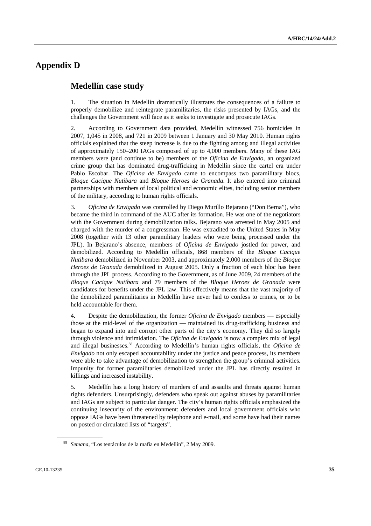# **Appendix D**

## **Medellín case study**

1. The situation in Medellín dramatically illustrates the consequences of a failure to properly demobilize and reintegrate paramilitaries, the risks presented by IAGs, and the challenges the Government will face as it seeks to investigate and prosecute IAGs.

2. According to Government data provided, Medellín witnessed 756 homicides in 2007, 1,045 in 2008, and 721 in 2009 between 1 January and 30 May 2010. Human rights officials explained that the steep increase is due to the fighting among and illegal activities of approximately 150–200 IAGs composed of up to 4,000 members. Many of these IAG members were (and continue to be) members of the *Oficina de Envigado*, an organized crime group that has dominated drug-trafficking in Medellín since the cartel era under Pablo Escobar. The *Oficina de Envigado* came to encompass two paramilitary blocs, *Bloque Cacique Nutibara* and *Bloque Heroes de Granada*. It also entered into criminal partnerships with members of local political and economic elites, including senior members of the military, according to human rights officials.

3. *Oficina de Envigado* was controlled by Diego Murillo Bejarano ("Don Berna"), who became the third in command of the AUC after its formation. He was one of the negotiators with the Government during demobilization talks. Bejarano was arrested in May 2005 and charged with the murder of a congressman. He was extradited to the United States in May 2008 (together with 13 other paramilitary leaders who were being processed under the JPL). In Bejarano's absence, members of *Oficina de Envigado* jostled for power, and demobilized. According to Medellín officials, 868 members of the *Bloque Cacique Nutibara* demobilized in November 2003, and approximately 2,000 members of the *Bloque Heroes de Granada* demobilized in August 2005. Only a fraction of each bloc has been through the JPL process. According to the Government, as of June 2009, 24 members of the *Bloque Cacique Nutibara* and 79 members of the *Bloque Heroes de Granada* were candidates for benefits under the JPL law. This effectively means that the vast majority of the demobilized paramilitaries in Medellín have never had to confess to crimes, or to be held accountable for them.

4. Despite the demobilization, the former *Oficina de Envigado* members — especially those at the mid-level of the organization — maintained its drug-trafficking business and began to expand into and corrupt other parts of the city's economy. They did so largely through violence and intimidation. The *Oficina de Envigado* is now a complex mix of legal and illegal businesses.88 According to Medellín's human rights officials, the *Oficina de Envigado* not only escaped accountability under the justice and peace process, its members were able to take advantage of demobilization to strengthen the group's criminal activities. Impunity for former paramilitaries demobilized under the JPL has directly resulted in killings and increased instability.

5. Medellín has a long history of murders of and assaults and threats against human rights defenders. Unsurprisingly, defenders who speak out against abuses by paramilitaries and IAGs are subject to particular danger. The city's human rights officials emphasized the continuing insecurity of the environment: defenders and local government officials who oppose IAGs have been threatened by telephone and e-mail, and some have had their names on posted or circulated lists of "targets".

<sup>88</sup> *Semana*, "Los tentáculos de la mafia en Medellín", 2 May 2009.